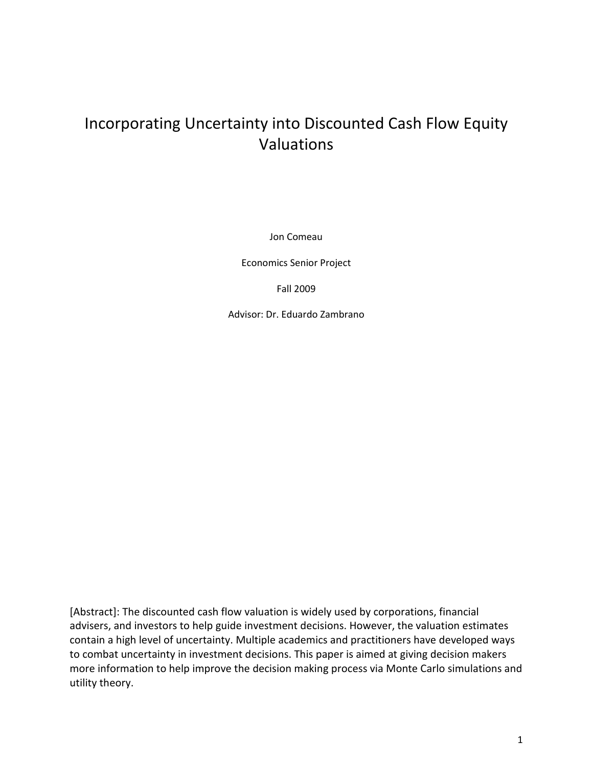# Incorporating Uncertainty into Discounted Cash Flow Equity Valuations

Jon Comeau

Economics Senior Project

Fall 2009

Advisor: Dr. Eduardo Zambrano

[Abstract]: The discounted cash flow valuation is widely used by corporations, financial advisers, and investors to help guide investment decisions. However, the valuation estimates contain a high level of uncertainty. Multiple academics and practitioners have developed ways to combat uncertainty in investment decisions. This paper is aimed at giving decision makers more information to help improve the decision making process via Monte Carlo simulations and utility theory.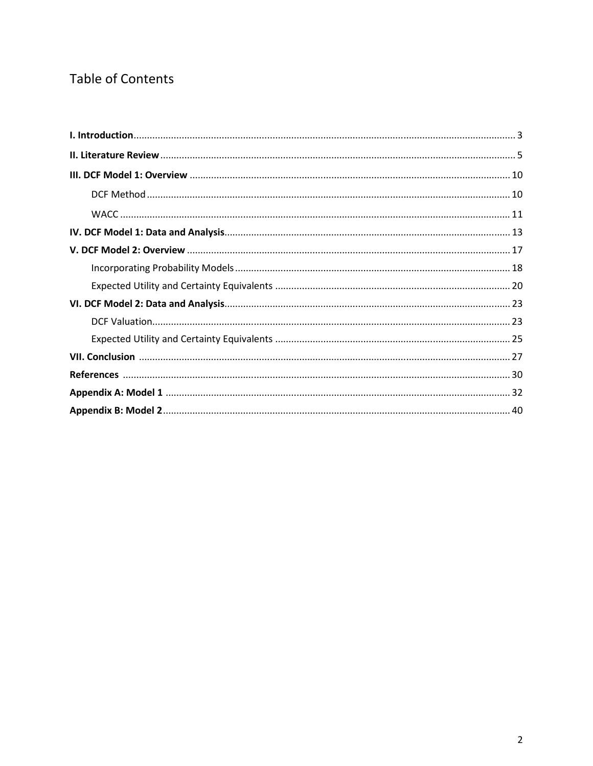# Table of Contents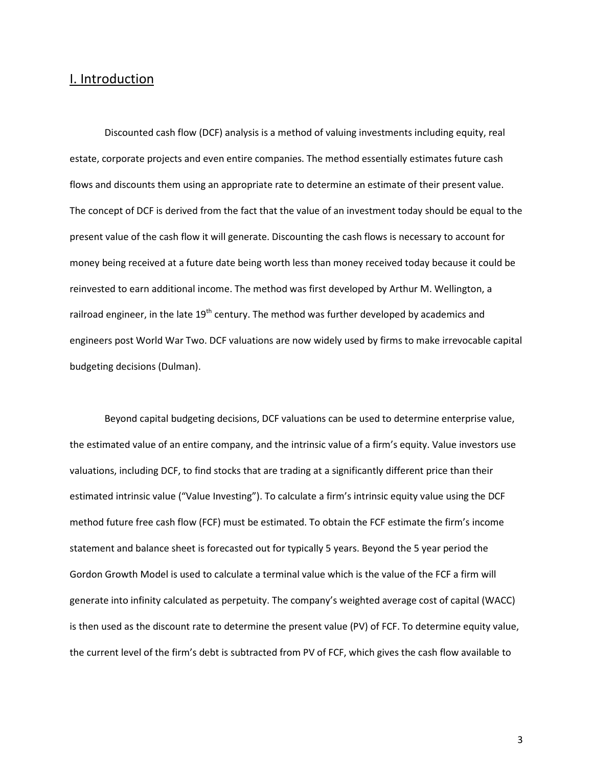### I. Introduction

Discounted cash flow (DCF) analysis is a method of valuing investments including equity, real estate, corporate projects and even entire companies. The method essentially estimates future cash flows and discounts them using an appropriate rate to determine an estimate of their present value. The concept of DCF is derived from the fact that the value of an investment today should be equal to the present value of the cash flow it will generate. Discounting the cash flows is necessary to account for money being received at a future date being worth less than money received today because it could be reinvested to earn additional income. The method was first developed by Arthur M. Wellington, a railroad engineer, in the late 19<sup>th</sup> century. The method was further developed by academics and engineers post World War Two. DCF valuations are now widely used by firms to make irrevocable capital budgeting decisions (Dulman).

Beyond capital budgeting decisions, DCF valuations can be used to determine enterprise value, the estimated value of an entire company, and the intrinsic value of a firm's equity. Value investors use valuations, including DCF, to find stocks that are trading at a significantly different price than their estimated intrinsic value ("Value Investing"). To calculate a firm's intrinsic equity value using the DCF method future free cash flow (FCF) must be estimated. To obtain the FCF estimate the firm's income statement and balance sheet is forecasted out for typically 5 years. Beyond the 5 year period the Gordon Growth Model is used to calculate a terminal value which is the value of the FCF a firm will generate into infinity calculated as perpetuity. The company's weighted average cost of capital (WACC) is then used as the discount rate to determine the present value (PV) of FCF. To determine equity value, the current level of the firm's debt is subtracted from PV of FCF, which gives the cash flow available to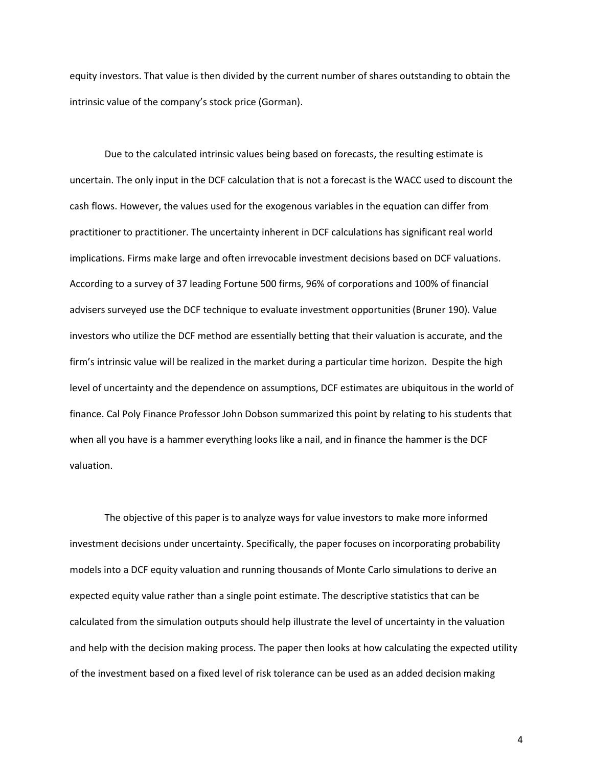equity investors. That value is then divided by the current number of shares outstanding to obtain the intrinsic value of the company's stock price (Gorman).

Due to the calculated intrinsic values being based on forecasts, the resulting estimate is uncertain. The only input in the DCF calculation that is not a forecast is the WACC used to discount the cash flows. However, the values used for the exogenous variables in the equation can differ from practitioner to practitioner. The uncertainty inherent in DCF calculations has significant real world implications. Firms make large and often irrevocable investment decisions based on DCF valuations. According to a survey of 37 leading Fortune 500 firms, 96% of corporations and 100% of financial advisers surveyed use the DCF technique to evaluate investment opportunities (Bruner 190). Value investors who utilize the DCF method are essentially betting that their valuation is accurate, and the firm's intrinsic value will be realized in the market during a particular time horizon. Despite the high level of uncertainty and the dependence on assumptions, DCF estimates are ubiquitous in the world of finance. Cal Poly Finance Professor John Dobson summarized this point by relating to his students that when all you have is a hammer everything looks like a nail, and in finance the hammer is the DCF valuation.

The objective of this paper is to analyze ways for value investors to make more informed investment decisions under uncertainty. Specifically, the paper focuses on incorporating probability models into a DCF equity valuation and running thousands of Monte Carlo simulations to derive an expected equity value rather than a single point estimate. The descriptive statistics that can be calculated from the simulation outputs should help illustrate the level of uncertainty in the valuation and help with the decision making process. The paper then looks at how calculating the expected utility of the investment based on a fixed level of risk tolerance can be used as an added decision making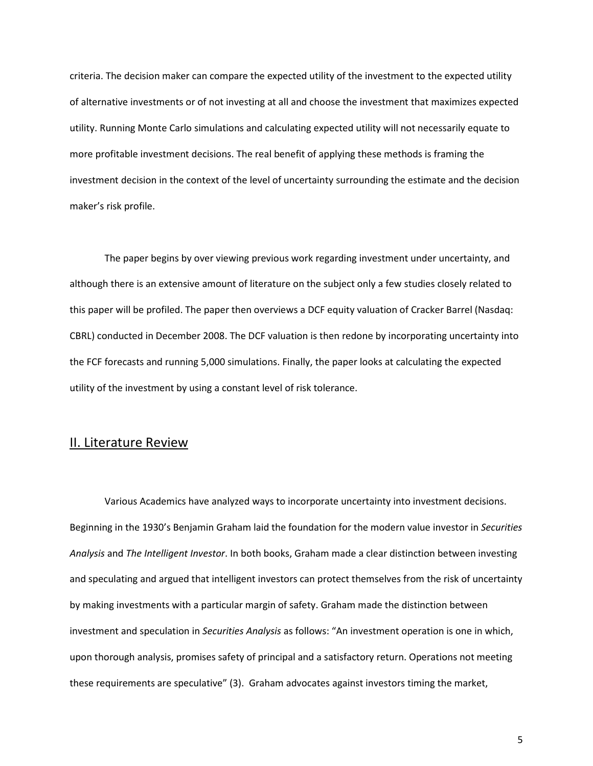criteria. The decision maker can compare the expected utility of the investment to the expected utility of alternative investments or of not investing at all and choose the investment that maximizes expected utility. Running Monte Carlo simulations and calculating expected utility will not necessarily equate to more profitable investment decisions. The real benefit of applying these methods is framing the investment decision in the context of the level of uncertainty surrounding the estimate and the decision maker's risk profile.

The paper begins by over viewing previous work regarding investment under uncertainty, and although there is an extensive amount of literature on the subject only a few studies closely related to this paper will be profiled. The paper then overviews a DCF equity valuation of Cracker Barrel (Nasdaq: CBRL) conducted in December 2008. The DCF valuation is then redone by incorporating uncertainty into the FCF forecasts and running 5,000 simulations. Finally, the paper looks at calculating the expected utility of the investment by using a constant level of risk tolerance.

### II. Literature Review

Various Academics have analyzed ways to incorporate uncertainty into investment decisions. Beginning in the 1930's Benjamin Graham laid the foundation for the modern value investor in *Securities Analysis* and *The Intelligent Investor*. In both books, Graham made a clear distinction between investing and speculating and argued that intelligent investors can protect themselves from the risk of uncertainty by making investments with a particular margin of safety. Graham made the distinction between investment and speculation in *Securities Analysis* as follows: "An investment operation is one in which, upon thorough analysis, promises safety of principal and a satisfactory return. Operations not meeting these requirements are speculative" (3). Graham advocates against investors timing the market,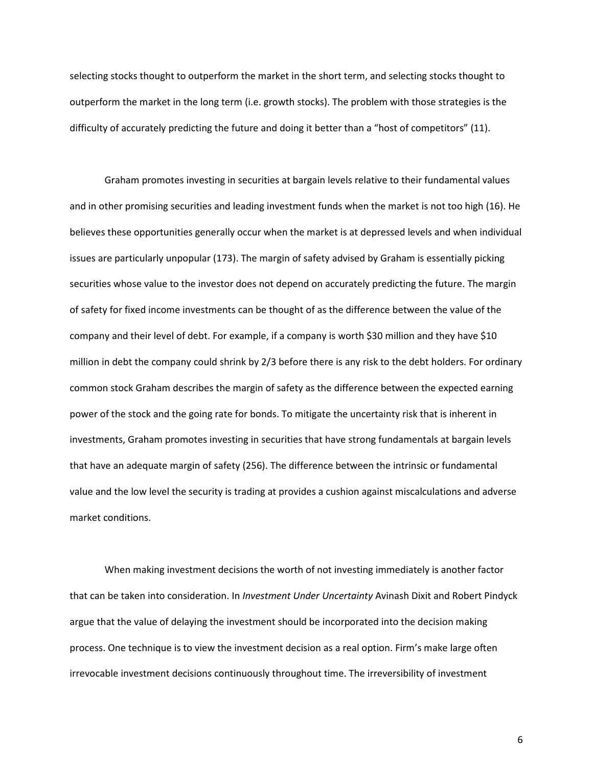selecting stocks thought to outperform the market in the short term, and selecting stocks thought to outperform the market in the long term (i.e. growth stocks). The problem with those strategies is the difficulty of accurately predicting the future and doing it better than a "host of competitors" (11).

Graham promotes investing in securities at bargain levels relative to their fundamental values and in other promising securities and leading investment funds when the market is not too high (16). He believes these opportunities generally occur when the market is at depressed levels and when individual issues are particularly unpopular (173). The margin of safety advised by Graham is essentially picking securities whose value to the investor does not depend on accurately predicting the future. The margin of safety for fixed income investments can be thought of as the difference between the value of the company and their level of debt. For example, if a company is worth \$30 million and they have \$10 million in debt the company could shrink by 2/3 before there is any risk to the debt holders. For ordinary common stock Graham describes the margin of safety as the difference between the expected earning power of the stock and the going rate for bonds. To mitigate the uncertainty risk that is inherent in investments, Graham promotes investing in securities that have strong fundamentals at bargain levels that have an adequate margin of safety (256). The difference between the intrinsic or fundamental value and the low level the security is trading at provides a cushion against miscalculations and adverse market conditions.

When making investment decisions the worth of not investing immediately is another factor that can be taken into consideration. In *Investment Under Uncertainty* Avinash Dixit and Robert Pindyck argue that the value of delaying the investment should be incorporated into the decision making process. One technique is to view the investment decision as a real option. Firm's make large often irrevocable investment decisions continuously throughout time. The irreversibility of investment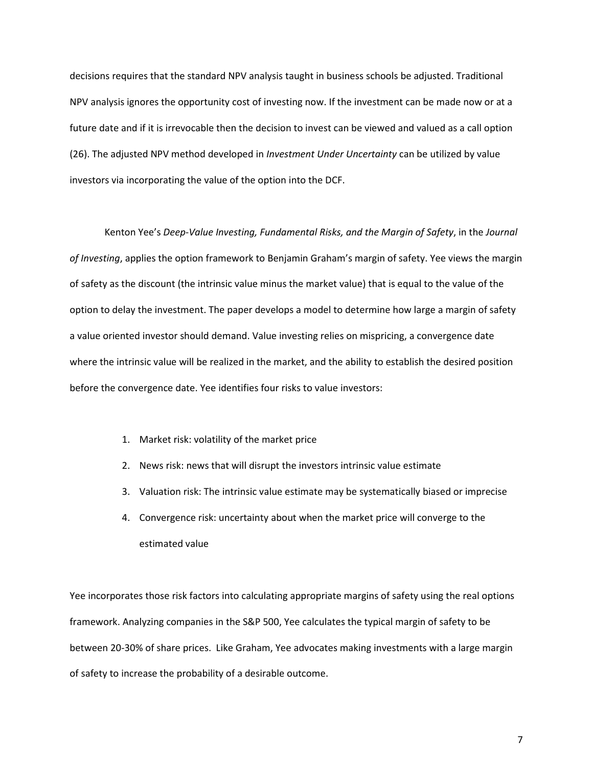decisions requires that the standard NPV analysis taught in business schools be adjusted. Traditional NPV analysis ignores the opportunity cost of investing now. If the investment can be made now or at a future date and if it is irrevocable then the decision to invest can be viewed and valued as a call option (26). The adjusted NPV method developed in *Investment Under Uncertainty* can be utilized by value investors via incorporating the value of the option into the DCF.

Kenton Yee's *Deep-Value Investing, Fundamental Risks, and the Margin of Safety*, in the *Journal of Investing*, applies the option framework to Benjamin Graham's margin of safety. Yee views the margin of safety as the discount (the intrinsic value minus the market value) that is equal to the value of the option to delay the investment. The paper develops a model to determine how large a margin of safety a value oriented investor should demand. Value investing relies on mispricing, a convergence date where the intrinsic value will be realized in the market, and the ability to establish the desired position before the convergence date. Yee identifies four risks to value investors:

- 1. Market risk: volatility of the market price
- 2. News risk: news that will disrupt the investors intrinsic value estimate
- 3. Valuation risk: The intrinsic value estimate may be systematically biased or imprecise
- 4. Convergence risk: uncertainty about when the market price will converge to the estimated value

Yee incorporates those risk factors into calculating appropriate margins of safety using the real options framework. Analyzing companies in the S&P 500, Yee calculates the typical margin of safety to be between 20-30% of share prices. Like Graham, Yee advocates making investments with a large margin of safety to increase the probability of a desirable outcome.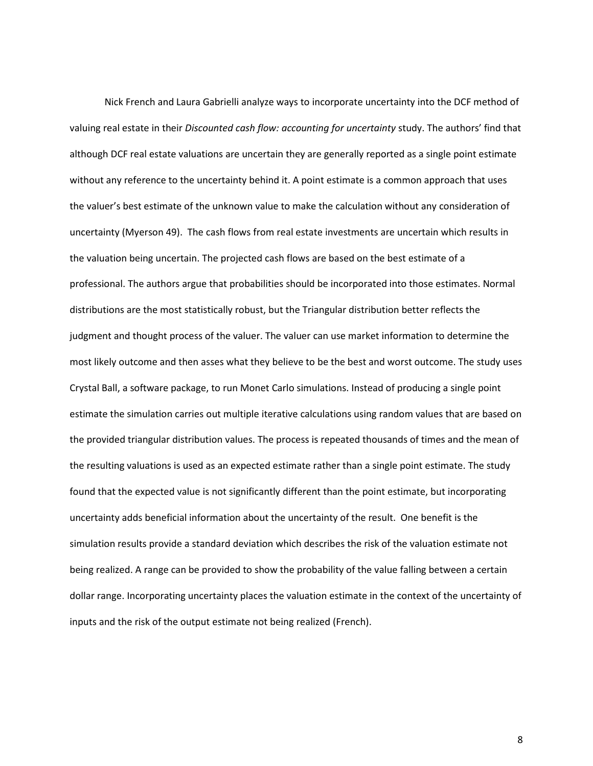Nick French and Laura Gabrielli analyze ways to incorporate uncertainty into the DCF method of valuing real estate in their *Discounted cash flow: accounting for uncertainty* study. The authors' find that although DCF real estate valuations are uncertain they are generally reported as a single point estimate without any reference to the uncertainty behind it. A point estimate is a common approach that uses the valuer's best estimate of the unknown value to make the calculation without any consideration of uncertainty (Myerson 49). The cash flows from real estate investments are uncertain which results in the valuation being uncertain. The projected cash flows are based on the best estimate of a professional. The authors argue that probabilities should be incorporated into those estimates. Normal distributions are the most statistically robust, but the Triangular distribution better reflects the judgment and thought process of the valuer. The valuer can use market information to determine the most likely outcome and then asses what they believe to be the best and worst outcome. The study uses Crystal Ball, a software package, to run Monet Carlo simulations. Instead of producing a single point estimate the simulation carries out multiple iterative calculations using random values that are based on the provided triangular distribution values. The process is repeated thousands of times and the mean of the resulting valuations is used as an expected estimate rather than a single point estimate. The study found that the expected value is not significantly different than the point estimate, but incorporating uncertainty adds beneficial information about the uncertainty of the result. One benefit is the simulation results provide a standard deviation which describes the risk of the valuation estimate not being realized. A range can be provided to show the probability of the value falling between a certain dollar range. Incorporating uncertainty places the valuation estimate in the context of the uncertainty of inputs and the risk of the output estimate not being realized (French).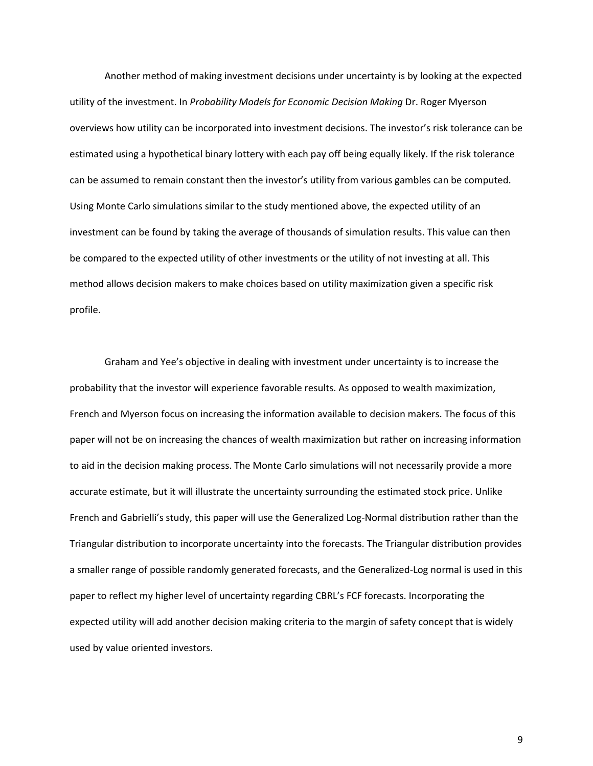Another method of making investment decisions under uncertainty is by looking at the expected utility of the investment. In *Probability Models for Economic Decision Making* Dr. Roger Myerson overviews how utility can be incorporated into investment decisions. The investor's risk tolerance can be estimated using a hypothetical binary lottery with each pay off being equally likely. If the risk tolerance can be assumed to remain constant then the investor's utility from various gambles can be computed. Using Monte Carlo simulations similar to the study mentioned above, the expected utility of an investment can be found by taking the average of thousands of simulation results. This value can then be compared to the expected utility of other investments or the utility of not investing at all. This method allows decision makers to make choices based on utility maximization given a specific risk profile.

Graham and Yee's objective in dealing with investment under uncertainty is to increase the probability that the investor will experience favorable results. As opposed to wealth maximization, French and Myerson focus on increasing the information available to decision makers. The focus of this paper will not be on increasing the chances of wealth maximization but rather on increasing information to aid in the decision making process. The Monte Carlo simulations will not necessarily provide a more accurate estimate, but it will illustrate the uncertainty surrounding the estimated stock price. Unlike French and Gabrielli's study, this paper will use the Generalized Log-Normal distribution rather than the Triangular distribution to incorporate uncertainty into the forecasts. The Triangular distribution provides a smaller range of possible randomly generated forecasts, and the Generalized-Log normal is used in this paper to reflect my higher level of uncertainty regarding CBRL's FCF forecasts. Incorporating the expected utility will add another decision making criteria to the margin of safety concept that is widely used by value oriented investors.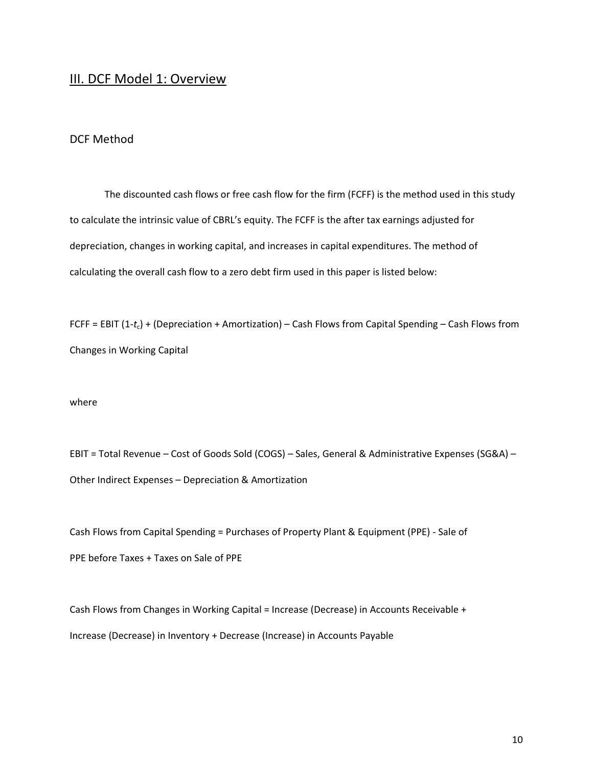## III. DCF Model 1: Overview

### DCF Method

The discounted cash flows or free cash flow for the firm (FCFF) is the method used in this study to calculate the intrinsic value of CBRL's equity. The FCFF is the after tax earnings adjusted for depreciation, changes in working capital, and increases in capital expenditures. The method of calculating the overall cash flow to a zero debt firm used in this paper is listed below:

FCFF = EBIT (1-*t*c) + (Depreciation + Amortization) – Cash Flows from Capital Spending – Cash Flows from Changes in Working Capital

where

EBIT = Total Revenue – Cost of Goods Sold (COGS) – Sales, General & Administrative Expenses (SG&A) – Other Indirect Expenses – Depreciation & Amortization

Cash Flows from Capital Spending = Purchases of Property Plant & Equipment (PPE) - Sale of PPE before Taxes + Taxes on Sale of PPE

Cash Flows from Changes in Working Capital = Increase (Decrease) in Accounts Receivable + Increase (Decrease) in Inventory + Decrease (Increase) in Accounts Payable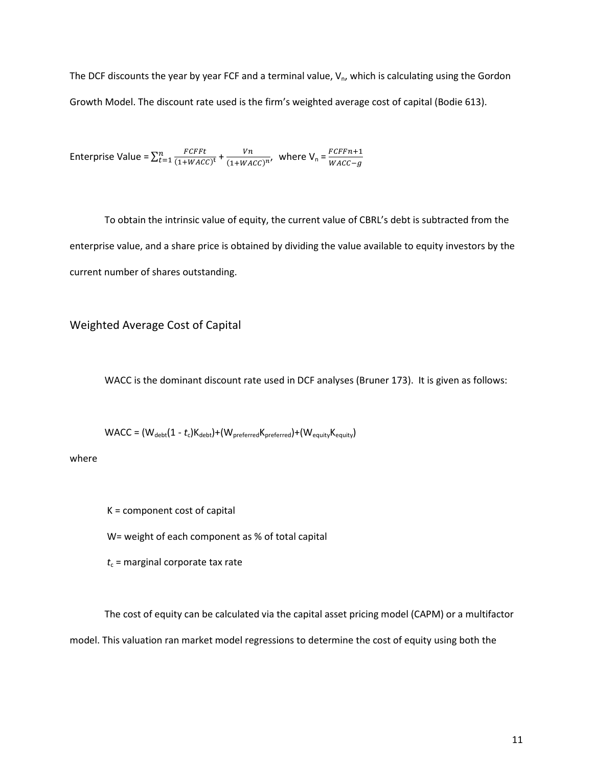The DCF discounts the year by year FCF and a terminal value,  $V_{n}$ , which is calculating using the Gordon Growth Model. The discount rate used is the firm's weighted average cost of capital (Bodie 613).

Enterprise Value =  $\sum_{t=1}^{n} \frac{FCFFt}{(1+WACC)}$  $\frac{r}{t} = 1 \frac{FCFFt}{(1 + WACC)^{t}} + \frac{Vn}{(1 + WA)}$  $\frac{Vn}{(1+WACC)^n}$ , where  $V_n = \frac{FCFFn+1}{WACC-g}$  $\frac{WACC-g}{WACC-g}$ 

To obtain the intrinsic value of equity, the current value of CBRL's debt is subtracted from the enterprise value, and a share price is obtained by dividing the value available to equity investors by the current number of shares outstanding.

Weighted Average Cost of Capital

WACC is the dominant discount rate used in DCF analyses (Bruner 173). It is given as follows:

 $WACC = (W_{debt}(1 - t_c)K_{debt}) + (W_{preferred}K_{preferred}) + (W_{equity}K_{equity})$ 

where

K = component cost of capital

W= weight of each component as % of total capital

 $t_c$  = marginal corporate tax rate

The cost of equity can be calculated via the capital asset pricing model (CAPM) or a multifactor model. This valuation ran market model regressions to determine the cost of equity using both the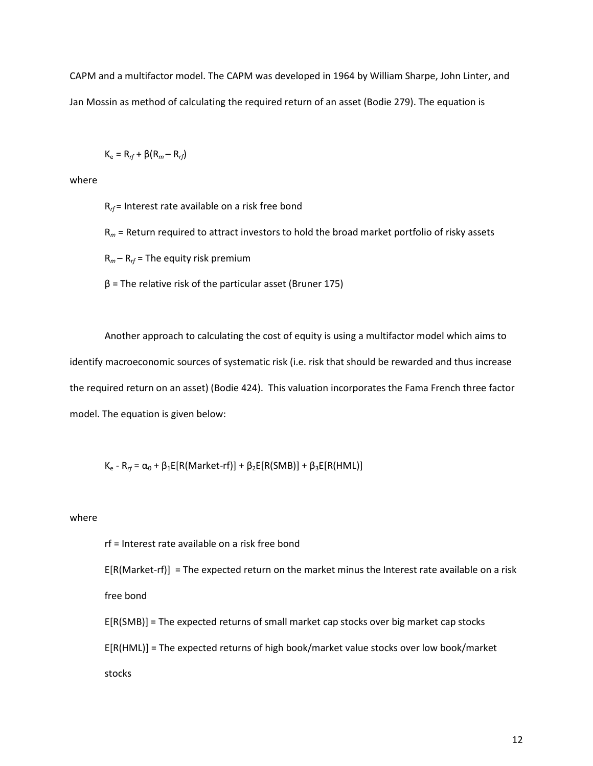CAPM and a multifactor model. The CAPM was developed in 1964 by William Sharpe, John Linter, and Jan Mossin as method of calculating the required return of an asset (Bodie 279). The equation is

$$
K_{\rm e} = R_{rf} + \beta (R_m - R_{rf})
$$

where

R*rf* = Interest rate available on a risk free bond

R*m* = Return required to attract investors to hold the broad market portfolio of risky assets

R*m* – R*rf* = The equity risk premium

 $β$  = The relative risk of the particular asset (Bruner 175)

Another approach to calculating the cost of equity is using a multifactor model which aims to identify macroeconomic sources of systematic risk (i.e. risk that should be rewarded and thus increase the required return on an asset) (Bodie 424). This valuation incorporates the Fama French three factor model. The equation is given below:

K<sub>e</sub> - R<sub>rf</sub> = α<sub>0</sub> + β<sub>1</sub>E[R(Market-rf)] + β<sub>2</sub>E[R(SMB)] + β<sub>3</sub>E[R(HML)]

### where

rf = Interest rate available on a risk free bond

E[R(Market-rf)] = The expected return on the market minus the Interest rate available on a risk free bond

E[R(SMB)] = The expected returns of small market cap stocks over big market cap stocks E[R(HML)] = The expected returns of high book/market value stocks over low book/market stocks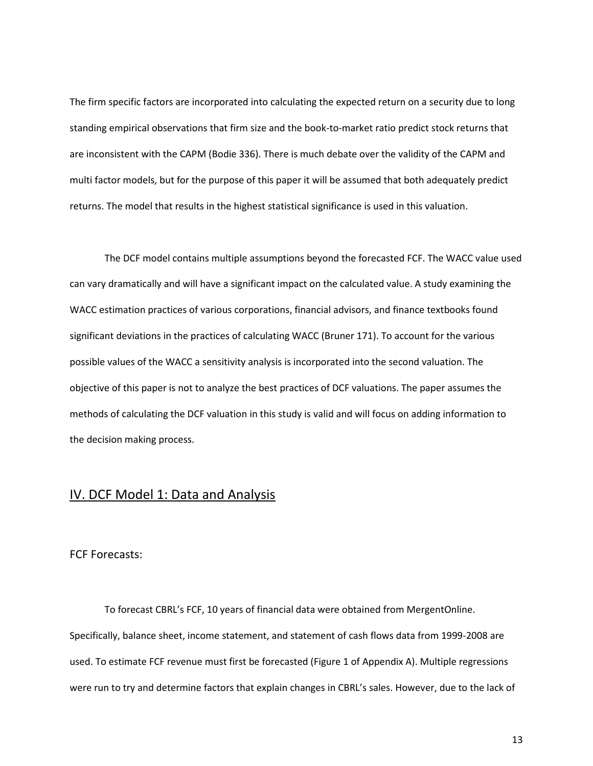The firm specific factors are incorporated into calculating the expected return on a security due to long standing empirical observations that firm size and the book-to-market ratio predict stock returns that are inconsistent with the CAPM (Bodie 336). There is much debate over the validity of the CAPM and multi factor models, but for the purpose of this paper it will be assumed that both adequately predict returns. The model that results in the highest statistical significance is used in this valuation.

 The DCF model contains multiple assumptions beyond the forecasted FCF. The WACC value used can vary dramatically and will have a significant impact on the calculated value. A study examining the WACC estimation practices of various corporations, financial advisors, and finance textbooks found significant deviations in the practices of calculating WACC (Bruner 171). To account for the various possible values of the WACC a sensitivity analysis is incorporated into the second valuation. The objective of this paper is not to analyze the best practices of DCF valuations. The paper assumes the methods of calculating the DCF valuation in this study is valid and will focus on adding information to the decision making process.

### IV. DCF Model 1: Data and Analysis

### FCF Forecasts:

To forecast CBRL's FCF, 10 years of financial data were obtained from MergentOnline. Specifically, balance sheet, income statement, and statement of cash flows data from 1999-2008 are used. To estimate FCF revenue must first be forecasted (Figure 1 of Appendix A). Multiple regressions were run to try and determine factors that explain changes in CBRL's sales. However, due to the lack of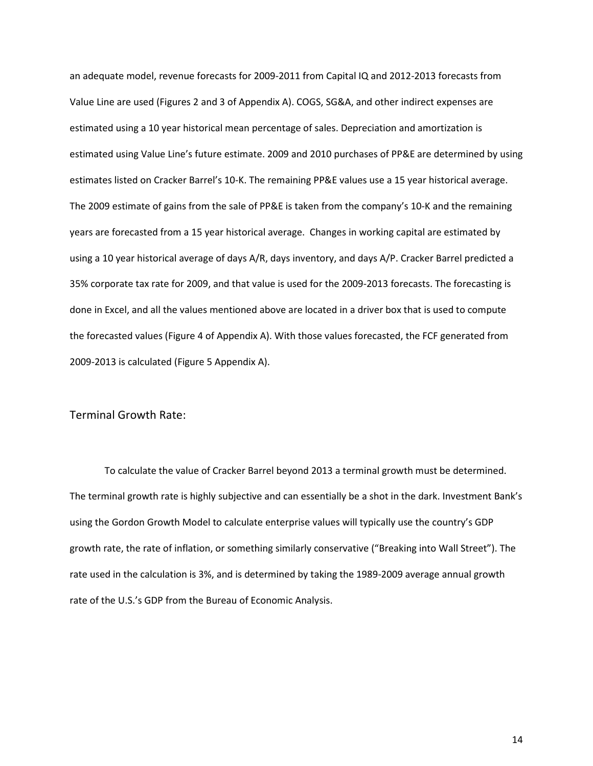an adequate model, revenue forecasts for 2009-2011 from Capital IQ and 2012-2013 forecasts from Value Line are used (Figures 2 and 3 of Appendix A). COGS, SG&A, and other indirect expenses are estimated using a 10 year historical mean percentage of sales. Depreciation and amortization is estimated using Value Line's future estimate. 2009 and 2010 purchases of PP&E are determined by using estimates listed on Cracker Barrel's 10-K. The remaining PP&E values use a 15 year historical average. The 2009 estimate of gains from the sale of PP&E is taken from the company's 10-K and the remaining years are forecasted from a 15 year historical average. Changes in working capital are estimated by using a 10 year historical average of days A/R, days inventory, and days A/P. Cracker Barrel predicted a 35% corporate tax rate for 2009, and that value is used for the 2009-2013 forecasts. The forecasting is done in Excel, and all the values mentioned above are located in a driver box that is used to compute the forecasted values (Figure 4 of Appendix A). With those values forecasted, the FCF generated from 2009-2013 is calculated (Figure 5 Appendix A).

### Terminal Growth Rate:

To calculate the value of Cracker Barrel beyond 2013 a terminal growth must be determined. The terminal growth rate is highly subjective and can essentially be a shot in the dark. Investment Bank's using the Gordon Growth Model to calculate enterprise values will typically use the country's GDP growth rate, the rate of inflation, or something similarly conservative ("Breaking into Wall Street"). The rate used in the calculation is 3%, and is determined by taking the 1989-2009 average annual growth rate of the U.S.'s GDP from the Bureau of Economic Analysis.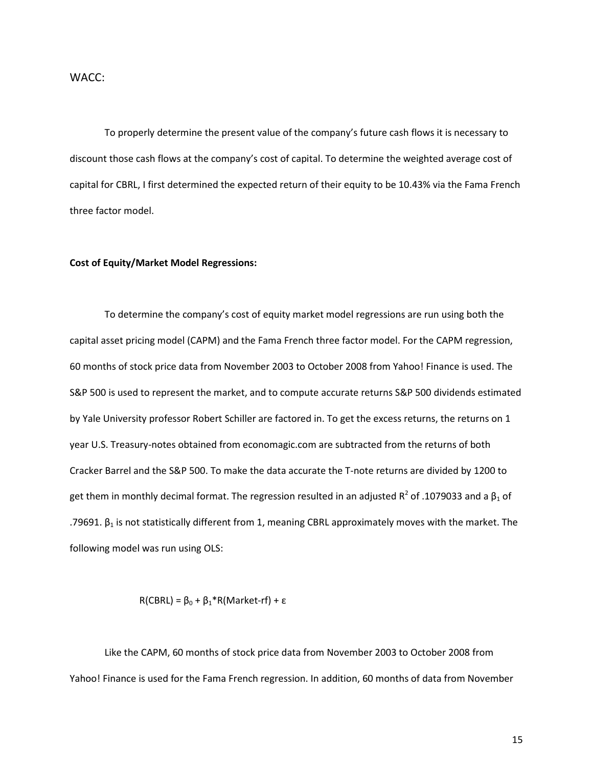### WACC:

To properly determine the present value of the company's future cash flows it is necessary to discount those cash flows at the company's cost of capital. To determine the weighted average cost of capital for CBRL, I first determined the expected return of their equity to be 10.43% via the Fama French three factor model.

### **Cost of Equity/Market Model Regressions:**

To determine the company's cost of equity market model regressions are run using both the capital asset pricing model (CAPM) and the Fama French three factor model. For the CAPM regression, 60 months of stock price data from November 2003 to October 2008 from Yahoo! Finance is used. The S&P 500 is used to represent the market, and to compute accurate returns S&P 500 dividends estimated by Yale University professor Robert Schiller are factored in. To get the excess returns, the returns on 1 year U.S. Treasury-notes obtained from economagic.com are subtracted from the returns of both Cracker Barrel and the S&P 500. To make the data accurate the T-note returns are divided by 1200 to get them in monthly decimal format. The regression resulted in an adjusted R<sup>2</sup> of .1079033 and a  $\beta_1$  of .79691. β<sub>1</sub> is not statistically different from 1, meaning CBRL approximately moves with the market. The following model was run using OLS:

R(CBRL) =  $β_0 + β_1 * R(Marker-rf) + ε$ 

Like the CAPM, 60 months of stock price data from November 2003 to October 2008 from Yahoo! Finance is used for the Fama French regression. In addition, 60 months of data from November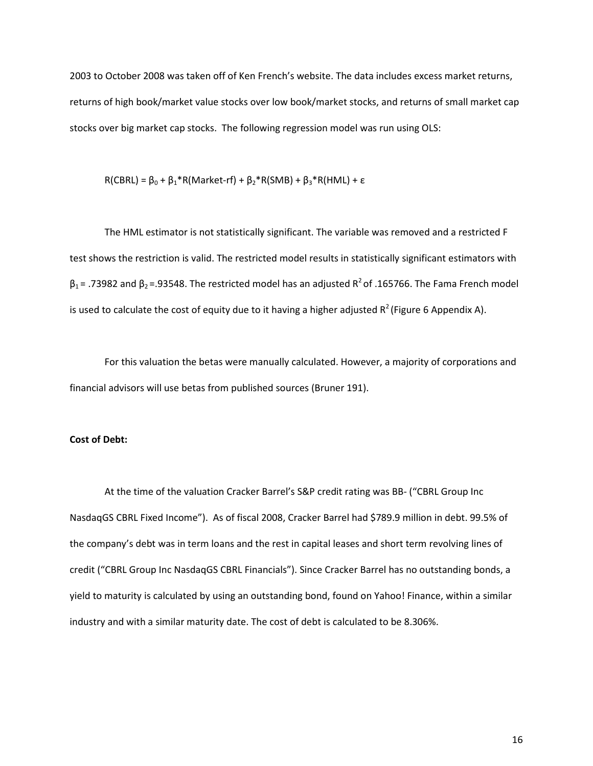2003 to October 2008 was taken off of Ken French's website. The data includes excess market returns, returns of high book/market value stocks over low book/market stocks, and returns of small market cap stocks over big market cap stocks. The following regression model was run using OLS:

$$
R(CBRL) = \beta_0 + \beta_1 * R(Marker-rf) + \beta_2 * R(SMB) + \beta_3 * R(HML) + \epsilon
$$

The HML estimator is not statistically significant. The variable was removed and a restricted F test shows the restriction is valid. The restricted model results in statistically significant estimators with  $β_1$  = .73982 and  $β_2$  = .93548. The restricted model has an adjusted R<sup>2</sup> of .165766. The Fama French model is used to calculate the cost of equity due to it having a higher adjusted  $R^2$  (Figure 6 Appendix A).

For this valuation the betas were manually calculated. However, a majority of corporations and financial advisors will use betas from published sources (Bruner 191).

### **Cost of Debt:**

At the time of the valuation Cracker Barrel's S&P credit rating was BB- ("CBRL Group Inc NasdaqGS CBRL Fixed Income"). As of fiscal 2008, Cracker Barrel had \$789.9 million in debt. 99.5% of the company's debt was in term loans and the rest in capital leases and short term revolving lines of credit ("CBRL Group Inc NasdaqGS CBRL Financials"). Since Cracker Barrel has no outstanding bonds, a yield to maturity is calculated by using an outstanding bond, found on Yahoo! Finance, within a similar industry and with a similar maturity date. The cost of debt is calculated to be 8.306%.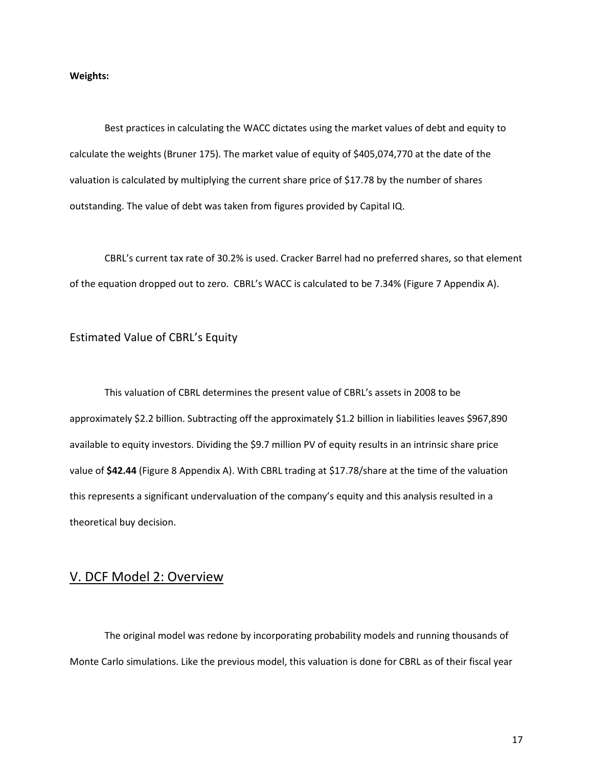### **Weights:**

 Best practices in calculating the WACC dictates using the market values of debt and equity to calculate the weights (Bruner 175). The market value of equity of \$405,074,770 at the date of the valuation is calculated by multiplying the current share price of \$17.78 by the number of shares outstanding. The value of debt was taken from figures provided by Capital IQ.

CBRL's current tax rate of 30.2% is used. Cracker Barrel had no preferred shares, so that element of the equation dropped out to zero. CBRL's WACC is calculated to be 7.34% (Figure 7 Appendix A).

### Estimated Value of CBRL's Equity

This valuation of CBRL determines the present value of CBRL's assets in 2008 to be approximately \$2.2 billion. Subtracting off the approximately \$1.2 billion in liabilities leaves \$967,890 available to equity investors. Dividing the \$9.7 million PV of equity results in an intrinsic share price value of **\$42.44** (Figure 8 Appendix A). With CBRL trading at \$17.78/share at the time of the valuation this represents a significant undervaluation of the company's equity and this analysis resulted in a theoretical buy decision.

## V. DCF Model 2: Overview

The original model was redone by incorporating probability models and running thousands of Monte Carlo simulations. Like the previous model, this valuation is done for CBRL as of their fiscal year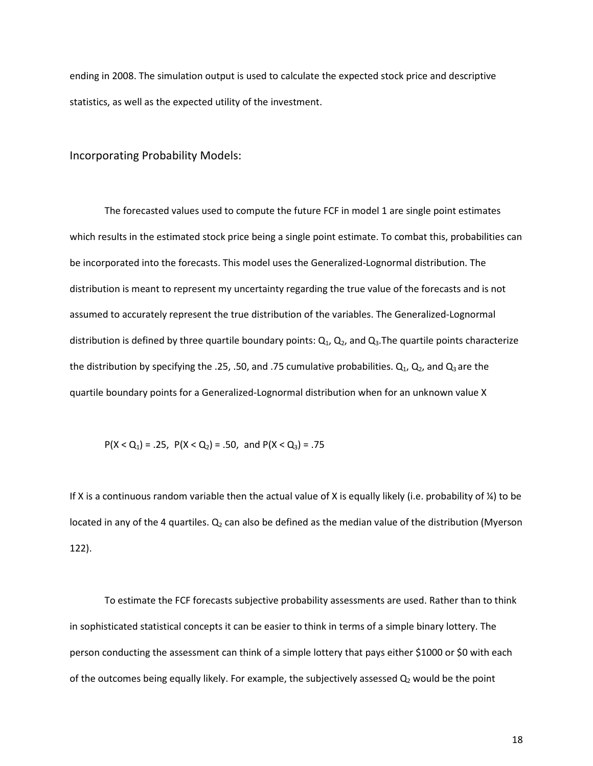ending in 2008. The simulation output is used to calculate the expected stock price and descriptive statistics, as well as the expected utility of the investment.

Incorporating Probability Models:

The forecasted values used to compute the future FCF in model 1 are single point estimates which results in the estimated stock price being a single point estimate. To combat this, probabilities can be incorporated into the forecasts. This model uses the Generalized-Lognormal distribution. The distribution is meant to represent my uncertainty regarding the true value of the forecasts and is not assumed to accurately represent the true distribution of the variables. The Generalized-Lognormal distribution is defined by three quartile boundary points:  $Q_1$ ,  $Q_2$ , and  $Q_3$ . The quartile points characterize the distribution by specifying the .25, .50, and .75 cumulative probabilities.  $Q_1$ ,  $Q_2$ , and  $Q_3$  are the quartile boundary points for a Generalized-Lognormal distribution when for an unknown value X

$$
P(X < Q_1) = .25, P(X < Q_2) = .50, and P(X < Q_3) = .75
$$

If X is a continuous random variable then the actual value of X is equally likely (i.e. probability of  $\frac{1}{4}$ ) to be located in any of the 4 quartiles.  $Q_2$  can also be defined as the median value of the distribution (Myerson 122).

 To estimate the FCF forecasts subjective probability assessments are used. Rather than to think in sophisticated statistical concepts it can be easier to think in terms of a simple binary lottery. The person conducting the assessment can think of a simple lottery that pays either \$1000 or \$0 with each of the outcomes being equally likely. For example, the subjectively assessed  $Q_2$  would be the point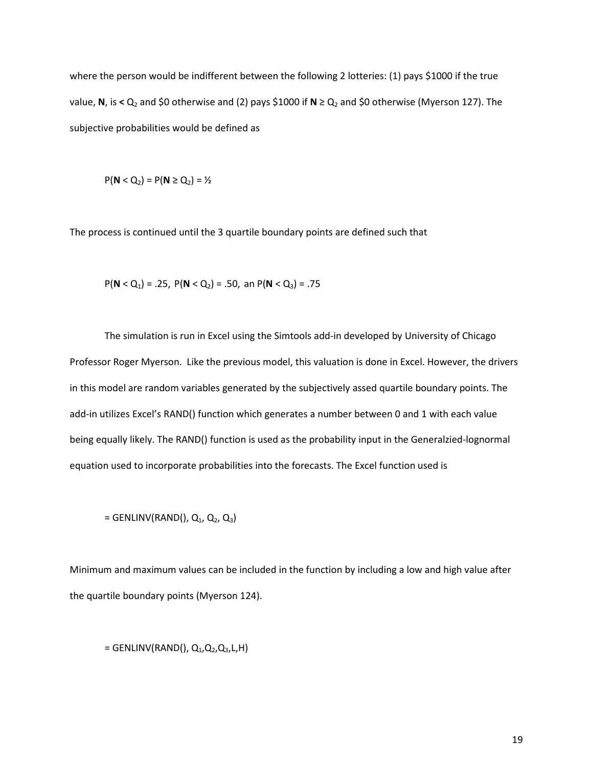where the person would be indifferent between the following 2 lotteries: (1) pays \$1000 if the true value, **N**, is < Q<sub>2</sub> and \$0 otherwise and (2) pays \$1000 if **N** ≥ Q<sub>2</sub> and \$0 otherwise (Myerson 127). The subjective probabilities would be defined as

$$
P(N < Q_2) = P(N \ge Q_2) = \frac{1}{2}
$$

The process is continued until the 3 quartile boundary points are defined such that

$$
P(N < Q_1) = .25
$$
,  $P(N < Q_2) = .50$ , an  $P(N < Q_3) = .75$ 

The simulation is run in Excel using the Simtools add-in developed by University of Chicago Professor Roger Myerson. Like the previous model, this valuation is done in Excel. However, the drivers in this model are random variables generated by the subjectively assed quartile boundary points. The add-in utilizes Excel's RAND() function which generates a number between 0 and 1 with each value being equally likely. The RAND() function is used as the probability input in the Generalzied-lognormal equation used to incorporate probabilities into the forecasts. The Excel function used is

 $=$  GENLINV(RAND(),  $Q_1$ ,  $Q_2$ ,  $Q_3$ )

Minimum and maximum values can be included in the function by including a low and high value after the quartile boundary points (Myerson 124).

 $=$  GENLINV(RAND(), Q<sub>1</sub>, Q<sub>2</sub>, Q<sub>3</sub>, L, H)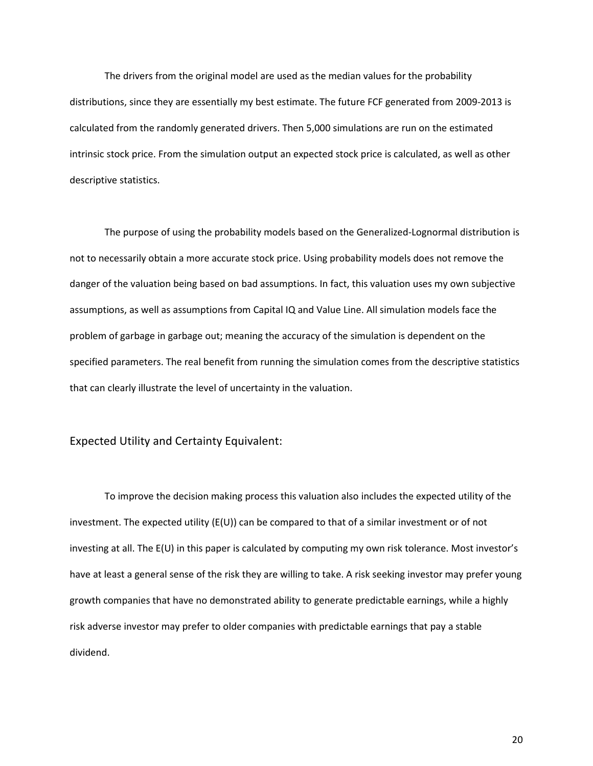The drivers from the original model are used as the median values for the probability distributions, since they are essentially my best estimate. The future FCF generated from 2009-2013 is calculated from the randomly generated drivers. Then 5,000 simulations are run on the estimated intrinsic stock price. From the simulation output an expected stock price is calculated, as well as other descriptive statistics.

 The purpose of using the probability models based on the Generalized-Lognormal distribution is not to necessarily obtain a more accurate stock price. Using probability models does not remove the danger of the valuation being based on bad assumptions. In fact, this valuation uses my own subjective assumptions, as well as assumptions from Capital IQ and Value Line. All simulation models face the problem of garbage in garbage out; meaning the accuracy of the simulation is dependent on the specified parameters. The real benefit from running the simulation comes from the descriptive statistics that can clearly illustrate the level of uncertainty in the valuation.

### Expected Utility and Certainty Equivalent:

 To improve the decision making process this valuation also includes the expected utility of the investment. The expected utility (E(U)) can be compared to that of a similar investment or of not investing at all. The E(U) in this paper is calculated by computing my own risk tolerance. Most investor's have at least a general sense of the risk they are willing to take. A risk seeking investor may prefer young growth companies that have no demonstrated ability to generate predictable earnings, while a highly risk adverse investor may prefer to older companies with predictable earnings that pay a stable dividend.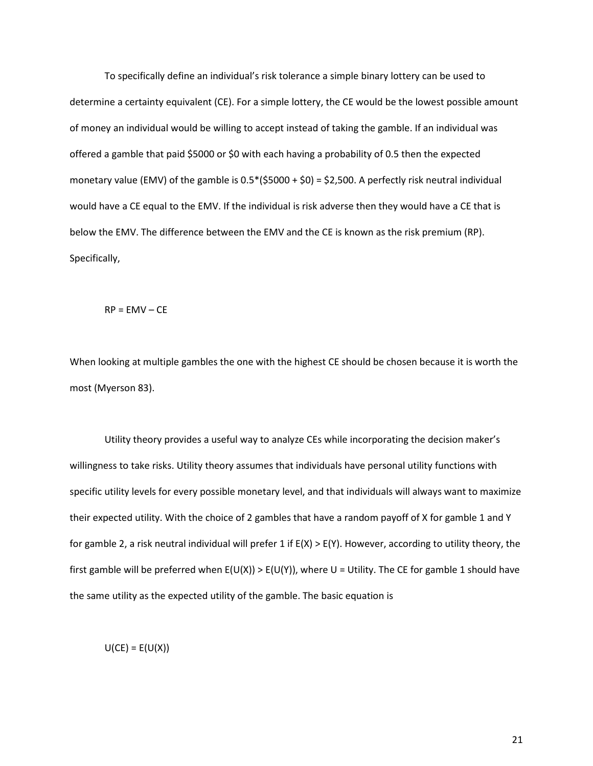To specifically define an individual's risk tolerance a simple binary lottery can be used to determine a certainty equivalent (CE). For a simple lottery, the CE would be the lowest possible amount of money an individual would be willing to accept instead of taking the gamble. If an individual was offered a gamble that paid \$5000 or \$0 with each having a probability of 0.5 then the expected monetary value (EMV) of the gamble is  $0.5*($5000 + $0) = $2,500$ . A perfectly risk neutral individual would have a CE equal to the EMV. If the individual is risk adverse then they would have a CE that is below the EMV. The difference between the EMV and the CE is known as the risk premium (RP). Specifically,

 $RP = EMV - CE$ 

When looking at multiple gambles the one with the highest CE should be chosen because it is worth the most (Myerson 83).

Utility theory provides a useful way to analyze CEs while incorporating the decision maker's willingness to take risks. Utility theory assumes that individuals have personal utility functions with specific utility levels for every possible monetary level, and that individuals will always want to maximize their expected utility. With the choice of 2 gambles that have a random payoff of X for gamble 1 and Y for gamble 2, a risk neutral individual will prefer 1 if E(X) > E(Y). However, according to utility theory, the first gamble will be preferred when  $E(U(X)) > E(U(Y))$ , where U = Utility. The CE for gamble 1 should have the same utility as the expected utility of the gamble. The basic equation is

 $U(CE) = E(U(X))$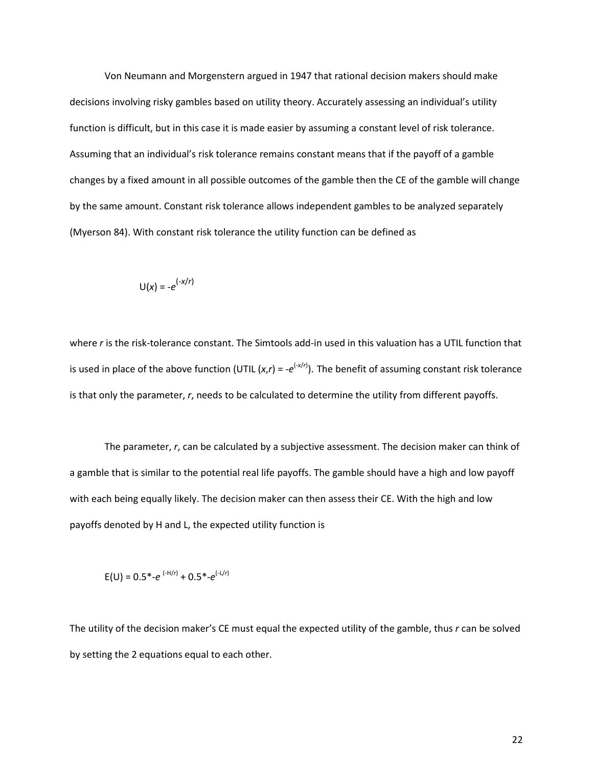Von Neumann and Morgenstern argued in 1947 that rational decision makers should make decisions involving risky gambles based on utility theory. Accurately assessing an individual's utility function is difficult, but in this case it is made easier by assuming a constant level of risk tolerance. Assuming that an individual's risk tolerance remains constant means that if the payoff of a gamble changes by a fixed amount in all possible outcomes of the gamble then the CE of the gamble will change by the same amount. Constant risk tolerance allows independent gambles to be analyzed separately (Myerson 84). With constant risk tolerance the utility function can be defined as

$$
U(x) = -e^{(-x/r)}
$$

where *r* is the risk-tolerance constant. The Simtools add-in used in this valuation has a UTIL function that is used in place of the above function (UTIL  $(x, r) = -e^{(-x/r)}$ ). The benefit of assuming constant risk tolerance is that only the parameter, *r*, needs to be calculated to determine the utility from different payoffs.

 The parameter, *r*, can be calculated by a subjective assessment. The decision maker can think of a gamble that is similar to the potential real life payoffs. The gamble should have a high and low payoff with each being equally likely. The decision maker can then assess their CE. With the high and low payoffs denoted by H and L, the expected utility function is

$$
E(U) = 0.5^* - e^{(-H/r)} + 0.5^* - e^{(-L/r)}
$$

The utility of the decision maker's CE must equal the expected utility of the gamble, thus *r* can be solved by setting the 2 equations equal to each other.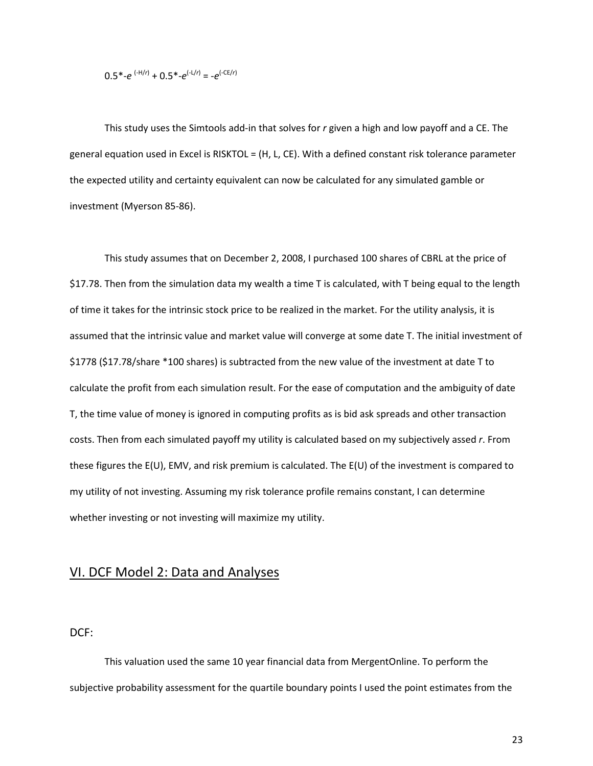$$
0.5^* - e^{(+H/r)} + 0.5^* - e^{(-L/r)} = -e^{(-CE/r)}
$$

This study uses the Simtools add-in that solves for *r* given a high and low payoff and a CE. The general equation used in Excel is RISKTOL = (H, L, CE). With a defined constant risk tolerance parameter the expected utility and certainty equivalent can now be calculated for any simulated gamble or investment (Myerson 85-86).

This study assumes that on December 2, 2008, I purchased 100 shares of CBRL at the price of \$17.78. Then from the simulation data my wealth a time T is calculated, with T being equal to the length of time it takes for the intrinsic stock price to be realized in the market. For the utility analysis, it is assumed that the intrinsic value and market value will converge at some date T. The initial investment of \$1778 (\$17.78/share \*100 shares) is subtracted from the new value of the investment at date T to calculate the profit from each simulation result. For the ease of computation and the ambiguity of date T, the time value of money is ignored in computing profits as is bid ask spreads and other transaction costs. Then from each simulated payoff my utility is calculated based on my subjectively assed *r*. From these figures the E(U), EMV, and risk premium is calculated. The E(U) of the investment is compared to my utility of not investing. Assuming my risk tolerance profile remains constant, I can determine whether investing or not investing will maximize my utility.

### VI. DCF Model 2: Data and Analyses

DCF:

This valuation used the same 10 year financial data from MergentOnline. To perform the subjective probability assessment for the quartile boundary points I used the point estimates from the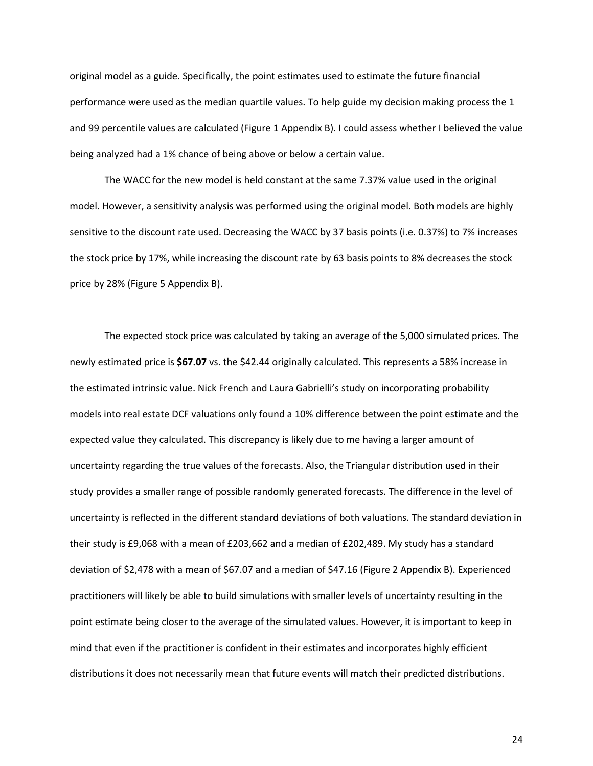original model as a guide. Specifically, the point estimates used to estimate the future financial performance were used as the median quartile values. To help guide my decision making process the 1 and 99 percentile values are calculated (Figure 1 Appendix B). I could assess whether I believed the value being analyzed had a 1% chance of being above or below a certain value.

The WACC for the new model is held constant at the same 7.37% value used in the original model. However, a sensitivity analysis was performed using the original model. Both models are highly sensitive to the discount rate used. Decreasing the WACC by 37 basis points (i.e. 0.37%) to 7% increases the stock price by 17%, while increasing the discount rate by 63 basis points to 8% decreases the stock price by 28% (Figure 5 Appendix B).

The expected stock price was calculated by taking an average of the 5,000 simulated prices. The newly estimated price is **\$67.07** vs. the \$42.44 originally calculated. This represents a 58% increase in the estimated intrinsic value. Nick French and Laura Gabrielli's study on incorporating probability models into real estate DCF valuations only found a 10% difference between the point estimate and the expected value they calculated. This discrepancy is likely due to me having a larger amount of uncertainty regarding the true values of the forecasts. Also, the Triangular distribution used in their study provides a smaller range of possible randomly generated forecasts. The difference in the level of uncertainty is reflected in the different standard deviations of both valuations. The standard deviation in their study is £9,068 with a mean of £203,662 and a median of £202,489. My study has a standard deviation of \$2,478 with a mean of \$67.07 and a median of \$47.16 (Figure 2 Appendix B). Experienced practitioners will likely be able to build simulations with smaller levels of uncertainty resulting in the point estimate being closer to the average of the simulated values. However, it is important to keep in mind that even if the practitioner is confident in their estimates and incorporates highly efficient distributions it does not necessarily mean that future events will match their predicted distributions.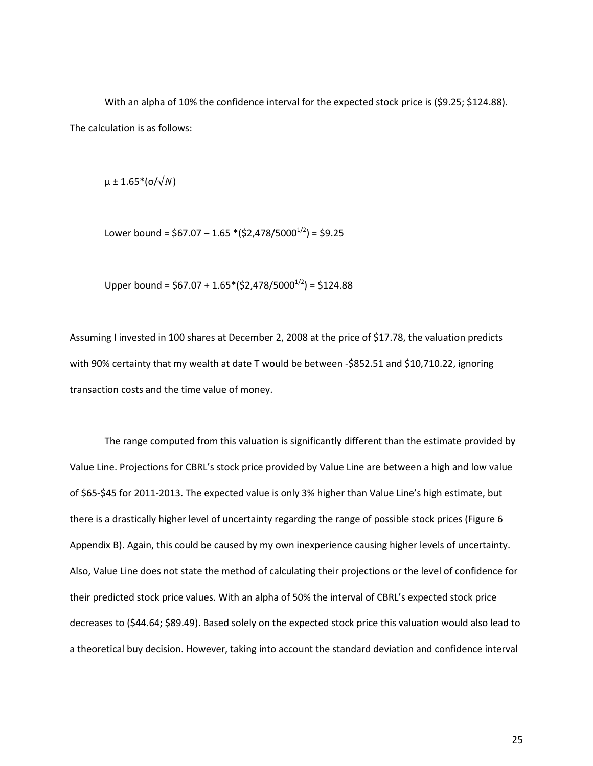With an alpha of 10% the confidence interval for the expected stock price is (\$9.25; \$124.88). The calculation is as follows:

 $\mu \pm 1.65^{\ast}$ (σ/ $\sqrt{N}$ )

Lower bound =  $$67.07 - 1.65 * ($2,478/5000^{1/2}) = $9.25$ 

Upper bound =  $$67.07 + 1.65*($2,478/5000<sup>1/2</sup>) = $124.88$ 

Assuming I invested in 100 shares at December 2, 2008 at the price of \$17.78, the valuation predicts with 90% certainty that my wealth at date T would be between -\$852.51 and \$10,710.22, ignoring transaction costs and the time value of money.

The range computed from this valuation is significantly different than the estimate provided by Value Line. Projections for CBRL's stock price provided by Value Line are between a high and low value of \$65-\$45 for 2011-2013. The expected value is only 3% higher than Value Line's high estimate, but there is a drastically higher level of uncertainty regarding the range of possible stock prices (Figure 6 Appendix B). Again, this could be caused by my own inexperience causing higher levels of uncertainty. Also, Value Line does not state the method of calculating their projections or the level of confidence for their predicted stock price values. With an alpha of 50% the interval of CBRL's expected stock price decreases to (\$44.64; \$89.49). Based solely on the expected stock price this valuation would also lead to a theoretical buy decision. However, taking into account the standard deviation and confidence interval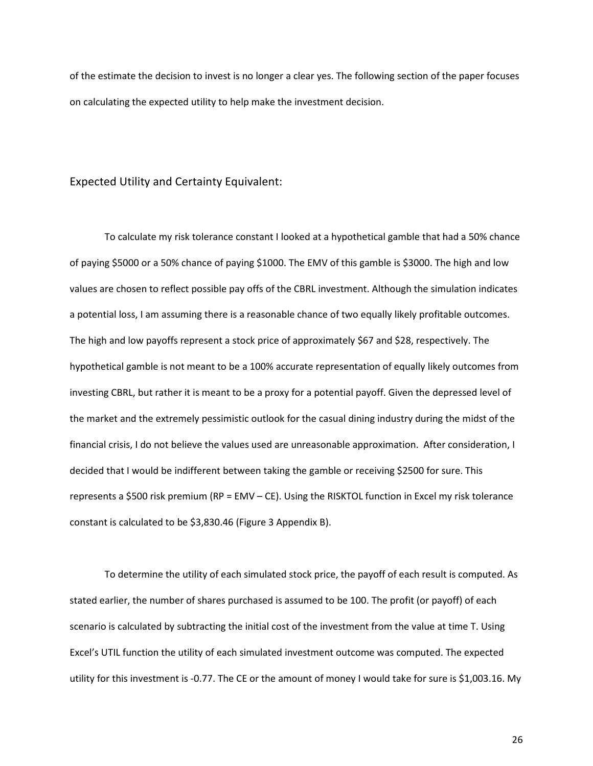of the estimate the decision to invest is no longer a clear yes. The following section of the paper focuses on calculating the expected utility to help make the investment decision.

### Expected Utility and Certainty Equivalent:

 To calculate my risk tolerance constant I looked at a hypothetical gamble that had a 50% chance of paying \$5000 or a 50% chance of paying \$1000. The EMV of this gamble is \$3000. The high and low values are chosen to reflect possible pay offs of the CBRL investment. Although the simulation indicates a potential loss, I am assuming there is a reasonable chance of two equally likely profitable outcomes. The high and low payoffs represent a stock price of approximately \$67 and \$28, respectively. The hypothetical gamble is not meant to be a 100% accurate representation of equally likely outcomes from investing CBRL, but rather it is meant to be a proxy for a potential payoff. Given the depressed level of the market and the extremely pessimistic outlook for the casual dining industry during the midst of the financial crisis, I do not believe the values used are unreasonable approximation. After consideration, I decided that I would be indifferent between taking the gamble or receiving \$2500 for sure. This represents a \$500 risk premium (RP = EMV – CE). Using the RISKTOL function in Excel my risk tolerance constant is calculated to be \$3,830.46 (Figure 3 Appendix B).

To determine the utility of each simulated stock price, the payoff of each result is computed. As stated earlier, the number of shares purchased is assumed to be 100. The profit (or payoff) of each scenario is calculated by subtracting the initial cost of the investment from the value at time T. Using Excel's UTIL function the utility of each simulated investment outcome was computed. The expected utility for this investment is -0.77. The CE or the amount of money I would take for sure is \$1,003.16. My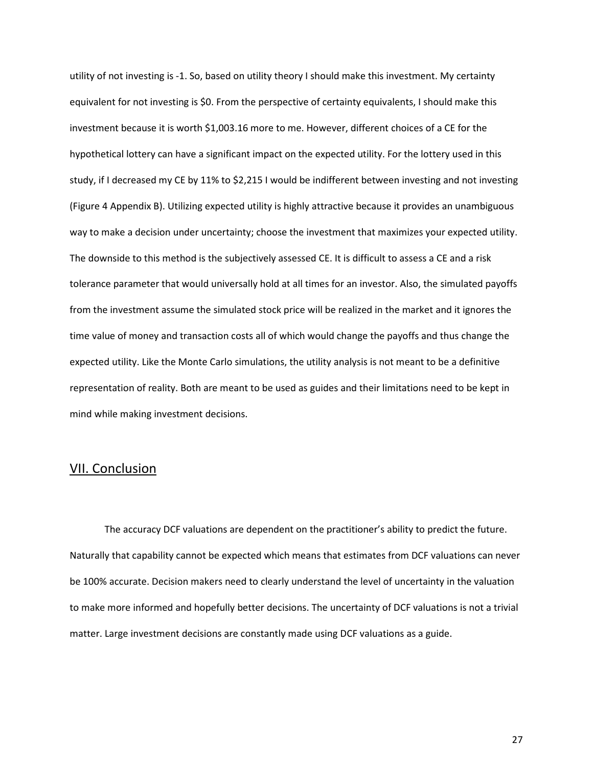utility of not investing is -1. So, based on utility theory I should make this investment. My certainty equivalent for not investing is \$0. From the perspective of certainty equivalents, I should make this investment because it is worth \$1,003.16 more to me. However, different choices of a CE for the hypothetical lottery can have a significant impact on the expected utility. For the lottery used in this study, if I decreased my CE by 11% to \$2,215 I would be indifferent between investing and not investing (Figure 4 Appendix B). Utilizing expected utility is highly attractive because it provides an unambiguous way to make a decision under uncertainty; choose the investment that maximizes your expected utility. The downside to this method is the subjectively assessed CE. It is difficult to assess a CE and a risk tolerance parameter that would universally hold at all times for an investor. Also, the simulated payoffs from the investment assume the simulated stock price will be realized in the market and it ignores the time value of money and transaction costs all of which would change the payoffs and thus change the expected utility. Like the Monte Carlo simulations, the utility analysis is not meant to be a definitive representation of reality. Both are meant to be used as guides and their limitations need to be kept in mind while making investment decisions.

### VII. Conclusion

 The accuracy DCF valuations are dependent on the practitioner's ability to predict the future. Naturally that capability cannot be expected which means that estimates from DCF valuations can never be 100% accurate. Decision makers need to clearly understand the level of uncertainty in the valuation to make more informed and hopefully better decisions. The uncertainty of DCF valuations is not a trivial matter. Large investment decisions are constantly made using DCF valuations as a guide.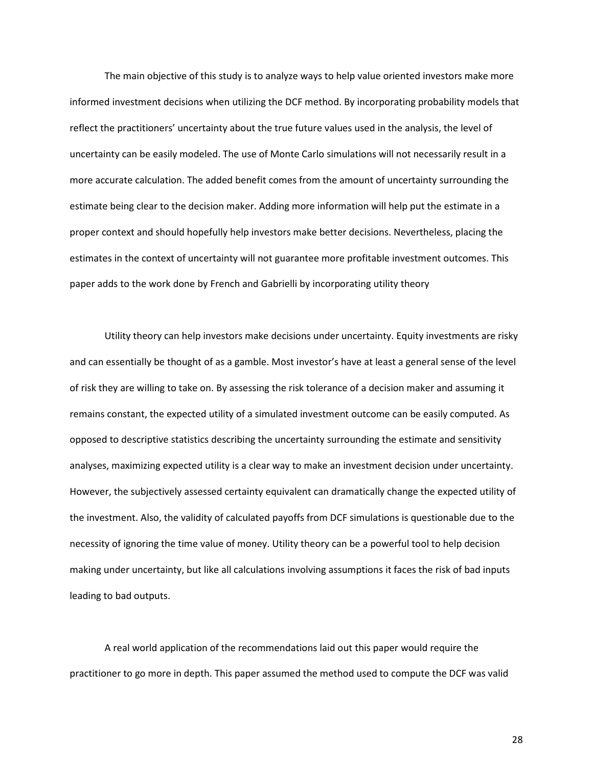The main objective of this study is to analyze ways to help value oriented investors make more informed investment decisions when utilizing the DCF method. By incorporating probability models that reflect the practitioners' uncertainty about the true future values used in the analysis, the level of uncertainty can be easily modeled. The use of Monte Carlo simulations will not necessarily result in a more accurate calculation. The added benefit comes from the amount of uncertainty surrounding the estimate being clear to the decision maker. Adding more information will help put the estimate in a proper context and should hopefully help investors make better decisions. Nevertheless, placing the estimates in the context of uncertainty will not guarantee more profitable investment outcomes. This paper adds to the work done by French and Gabrielli by incorporating utility theory

 Utility theory can help investors make decisions under uncertainty. Equity investments are risky and can essentially be thought of as a gamble. Most investor's have at least a general sense of the level of risk they are willing to take on. By assessing the risk tolerance of a decision maker and assuming it remains constant, the expected utility of a simulated investment outcome can be easily computed. As opposed to descriptive statistics describing the uncertainty surrounding the estimate and sensitivity analyses, maximizing expected utility is a clear way to make an investment decision under uncertainty. However, the subjectively assessed certainty equivalent can dramatically change the expected utility of the investment. Also, the validity of calculated payoffs from DCF simulations is questionable due to the necessity of ignoring the time value of money. Utility theory can be a powerful tool to help decision making under uncertainty, but like all calculations involving assumptions it faces the risk of bad inputs leading to bad outputs.

 A real world application of the recommendations laid out this paper would require the practitioner to go more in depth. This paper assumed the method used to compute the DCF was valid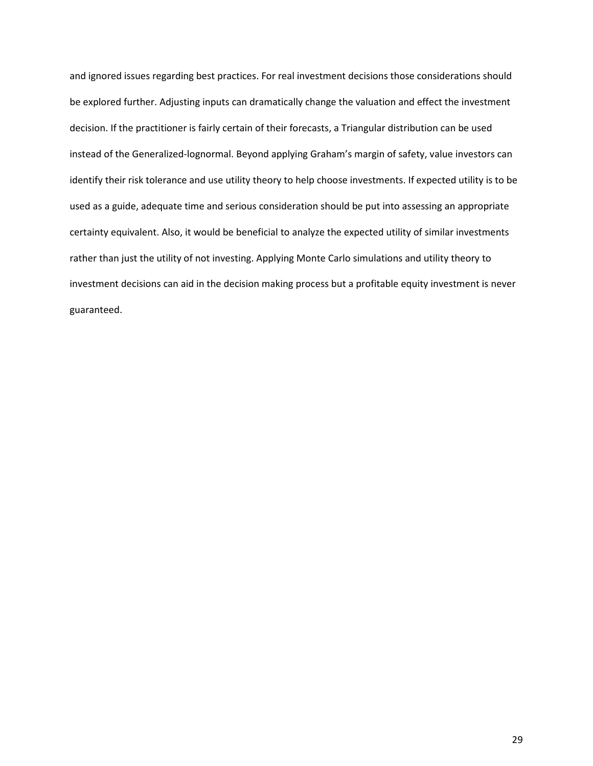and ignored issues regarding best practices. For real investment decisions those considerations should be explored further. Adjusting inputs can dramatically change the valuation and effect the investment decision. If the practitioner is fairly certain of their forecasts, a Triangular distribution can be used instead of the Generalized-lognormal. Beyond applying Graham's margin of safety, value investors can identify their risk tolerance and use utility theory to help choose investments. If expected utility is to be used as a guide, adequate time and serious consideration should be put into assessing an appropriate certainty equivalent. Also, it would be beneficial to analyze the expected utility of similar investments rather than just the utility of not investing. Applying Monte Carlo simulations and utility theory to investment decisions can aid in the decision making process but a profitable equity investment is never guaranteed.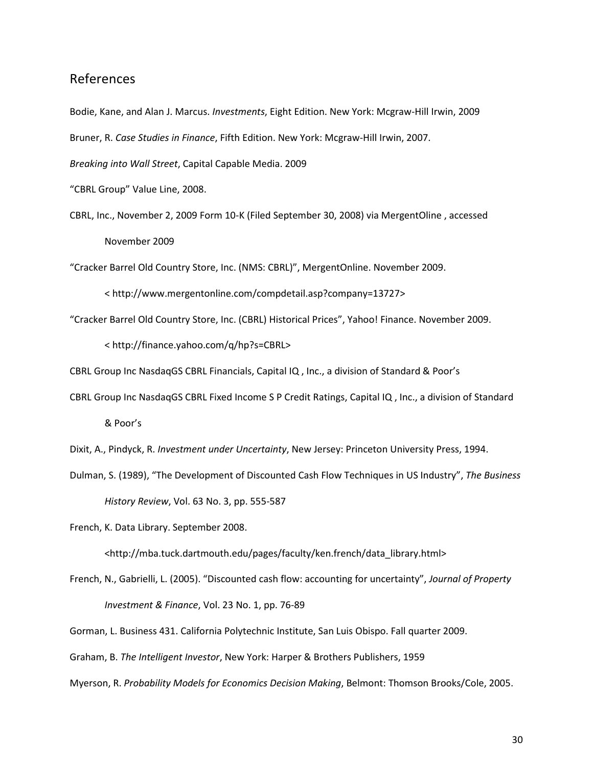## References

Bodie, Kane, and Alan J. Marcus. *Investments*, Eight Edition. New York: Mcgraw-Hill Irwin, 2009

Bruner, R. *Case Studies in Finance*, Fifth Edition. New York: Mcgraw-Hill Irwin, 2007.

*Breaking into Wall Street*, Capital Capable Media. 2009

- "CBRL Group" Value Line, 2008.
- CBRL, Inc., November 2, 2009 Form 10-K (Filed September 30, 2008) via MergentOline , accessed November 2009

"Cracker Barrel Old Country Store, Inc. (NMS: CBRL)", MergentOnline. November 2009.

< http://www.mergentonline.com/compdetail.asp?company=13727>

"Cracker Barrel Old Country Store, Inc. (CBRL) Historical Prices", Yahoo! Finance. November 2009.

< http://finance.yahoo.com/q/hp?s=CBRL>

CBRL Group Inc NasdaqGS CBRL Financials, Capital IQ , Inc., a division of Standard & Poor's

CBRL Group Inc NasdaqGS CBRL Fixed Income S P Credit Ratings, Capital IQ , Inc., a division of Standard

& Poor's

Dixit, A., Pindyck, R. *Investment under Uncertainty*, New Jersey: Princeton University Press, 1994.

Dulman, S. (1989), "The Development of Discounted Cash Flow Techniques in US Industry", *The Business History Review*, Vol. 63 No. 3, pp. 555-587

French, K. Data Library. September 2008.

<http://mba.tuck.dartmouth.edu/pages/faculty/ken.french/data\_library.html>

- French, N., Gabrielli, L. (2005). "Discounted cash flow: accounting for uncertainty", *Journal of Property Investment & Finance*, Vol. 23 No. 1, pp. 76-89
- Gorman, L. Business 431. California Polytechnic Institute, San Luis Obispo. Fall quarter 2009.

Graham, B. *The Intelligent Investor*, New York: Harper & Brothers Publishers, 1959

Myerson, R. *Probability Models for Economics Decision Making*, Belmont: Thomson Brooks/Cole, 2005.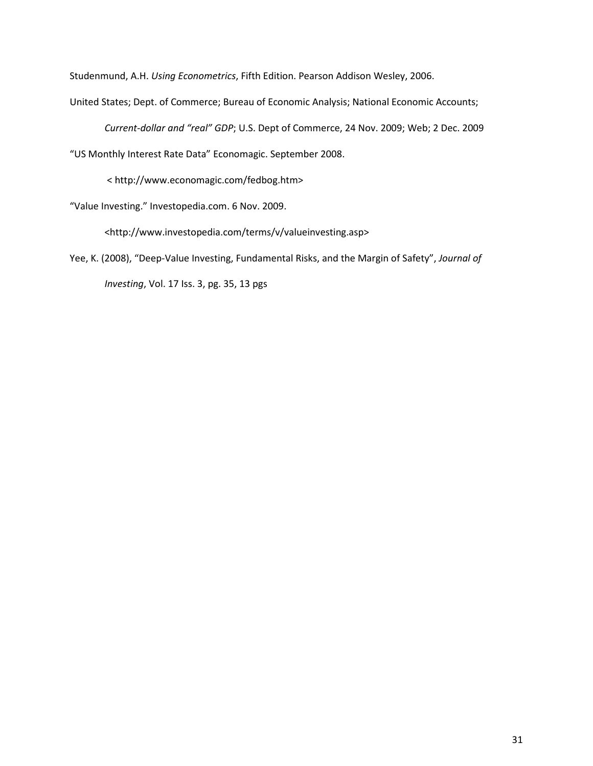Studenmund, A.H. *Using Econometrics*, Fifth Edition. Pearson Addison Wesley, 2006.

United States; Dept. of Commerce; Bureau of Economic Analysis; National Economic Accounts;

*Current-dollar and "real" GDP*; U.S. Dept of Commerce, 24 Nov. 2009; Web; 2 Dec. 2009

"US Monthly Interest Rate Data" Economagic. September 2008.

< http://www.economagic.com/fedbog.htm>

"Value Investing." Investopedia.com. 6 Nov. 2009.

<http://www.investopedia.com/terms/v/valueinvesting.asp>

Yee, K. (2008), "Deep-Value Investing, Fundamental Risks, and the Margin of Safety", *Journal of Investing*, Vol. 17 Iss. 3, pg. 35, 13 pgs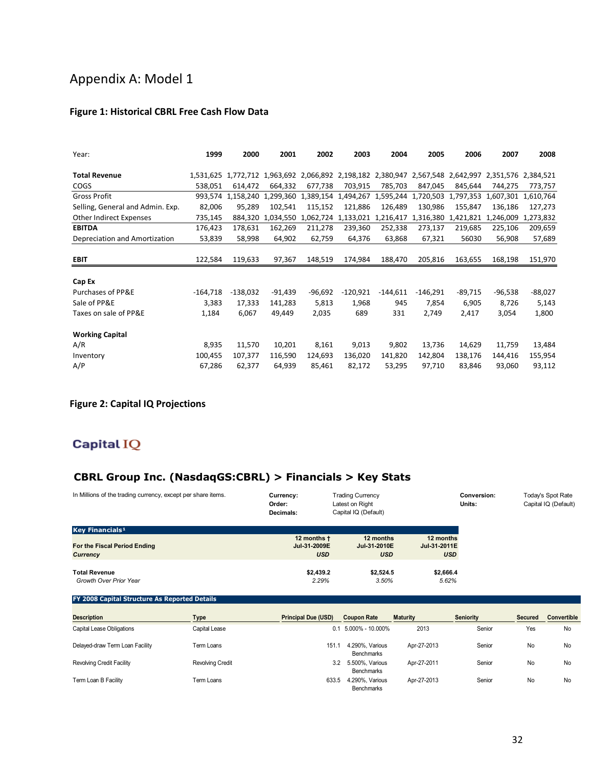## Appendix A: Model 1

## **Figure 1: Historical CBRL Free Cash Flow Data**

| Year:                            | 1999       | 2000       | 2001                | 2002      | 2003                          | 2004       | 2005       | 2006      | 2007                | 2008      |
|----------------------------------|------------|------------|---------------------|-----------|-------------------------------|------------|------------|-----------|---------------------|-----------|
|                                  |            |            |                     |           |                               |            |            |           |                     |           |
| <b>Total Revenue</b>             | 1.531.625  |            | 1,772,712 1,963,692 |           | 2,066,892 2,198,182 2,380,947 |            | 2,567,548  | 2,642,997 | 2,351,576 2,384,521 |           |
| <b>COGS</b>                      | 538,051    | 614,472    | 664,332             | 677,738   | 703,915                       | 785,703    | 847,045    | 845,644   | 744,275             | 773,757   |
| <b>Gross Profit</b>              | 993.574    | 1,158,240  | 1,299,360           | 1,389,154 | 1,494,267                     | 1,595,244  | 1,720,503  | 1,797,353 | 1,607,301           | 1,610,764 |
| Selling, General and Admin. Exp. | 82,006     | 95,289     | 102,541             | 115,152   | 121,886                       | 126,489    | 130,986    | 155,847   | 136,186             | 127,273   |
| Other Indirect Expenses          | 735,145    | 884,320    | 1,034,550           | 1,062,724 | 1,133,021                     | 1,216,417  | 1,316,380  | 1,421,821 | 1,246,009           | 1,273,832 |
| <b>EBITDA</b>                    | 176,423    | 178,631    | 162,269             | 211,278   | 239,360                       | 252,338    | 273,137    | 219,685   | 225,106             | 209,659   |
| Depreciation and Amortization    | 53,839     | 58,998     | 64,902              | 62,759    | 64,376                        | 63,868     | 67,321     | 56030     | 56,908              | 57,689    |
|                                  |            |            |                     |           |                               |            |            |           |                     |           |
| <b>EBIT</b>                      | 122,584    | 119,633    | 97,367              | 148,519   | 174,984                       | 188,470    | 205,816    | 163,655   | 168,198             | 151,970   |
|                                  |            |            |                     |           |                               |            |            |           |                     |           |
| Cap Ex                           |            |            |                     |           |                               |            |            |           |                     |           |
| Purchases of PP&E                | $-164,718$ | $-138,032$ | $-91,439$           | $-96,692$ | $-120,921$                    | $-144,611$ | $-146,291$ | -89,715   | $-96,538$           | -88,027   |
| Sale of PP&E                     | 3,383      | 17,333     | 141,283             | 5,813     | 1,968                         | 945        | 7,854      | 6,905     | 8,726               | 5,143     |
| Taxes on sale of PP&E            | 1,184      | 6,067      | 49,449              | 2,035     | 689                           | 331        | 2,749      | 2,417     | 3,054               | 1,800     |
| <b>Working Capital</b>           |            |            |                     |           |                               |            |            |           |                     |           |
| A/R                              | 8,935      | 11,570     | 10,201              | 8,161     | 9,013                         | 9,802      | 13,736     | 14,629    | 11,759              | 13,484    |
| Inventory                        | 100,455    | 107,377    | 116,590             | 124,693   | 136,020                       | 141,820    | 142,804    | 138,176   | 144,416             | 155,954   |
| A/P                              | 67,286     | 62,377     | 64,939              | 85,461    | 82,172                        | 53,295     | 97,710     | 83,846    | 93,060              | 93,112    |

## **Figure 2: Capital IQ Projections**

## Capital IQ

## **CBRL Group Inc. (NasdaqGS:CBRL) > Financials > Key Stats**

| In Millions of the trading currency, except per share items. | <b>Trading Currency</b><br>Currency:<br>Latest on Right<br>Order:<br>Capital IQ (Default)<br>Decimals: |              |              | Conversion:<br>Units: | Today's Spot Rate<br>Capital IQ (Default) |
|--------------------------------------------------------------|--------------------------------------------------------------------------------------------------------|--------------|--------------|-----------------------|-------------------------------------------|
| Key Financials <sup>1</sup>                                  |                                                                                                        |              |              |                       |                                           |
|                                                              | 12 months t                                                                                            | 12 months    | 12 months    |                       |                                           |
| For the Fiscal Period Ending                                 | Jul-31-2009E                                                                                           | Jul-31-2010E | Jul-31-2011E |                       |                                           |
| Currency                                                     | <b>USD</b>                                                                                             | <b>USD</b>   | <b>USD</b>   |                       |                                           |
|                                                              |                                                                                                        |              |              |                       |                                           |
| <b>Total Revenue</b>                                         | \$2,439.2                                                                                              | \$2.524.5    | \$2,666.4    |                       |                                           |
| <b>Growth Over Prior Year</b>                                | 2.29%                                                                                                  | 3.50%        | 5.62%        |                       |                                           |
|                                                              |                                                                                                        |              |              |                       |                                           |

#### **FY 2008 Capital Structure As Reported Details**

| <b>Description</b>               | Type                    | <b>Principal Due (USD)</b> | <b>Coupon Rate</b>                   | <b>Maturity</b> | <b>Seniority</b> | <b>Secured</b> | Convertible |
|----------------------------------|-------------------------|----------------------------|--------------------------------------|-----------------|------------------|----------------|-------------|
| Capital Lease Obligations        | Capital Lease           | 0.1                        | $5.000\% - 10.000\%$                 | 2013            | Senior           | Yes            | No          |
| Delayed-draw Term Loan Facility  | Term Loans              | 151                        | 4.290%, Various<br><b>Benchmarks</b> | Apr-27-2013     | Senior           | <b>No</b>      | No          |
| <b>Revolving Credit Facility</b> | <b>Revolving Credit</b> | 3.2                        | 5.500%, Various<br><b>Benchmarks</b> | Apr-27-2011     | Senior           | <b>No</b>      | No          |
| Term Loan B Facility             | Term Loans              | 633.5                      | 4.290%, Various<br><b>Benchmarks</b> | Apr-27-2013     | Senior           | <b>No</b>      | No          |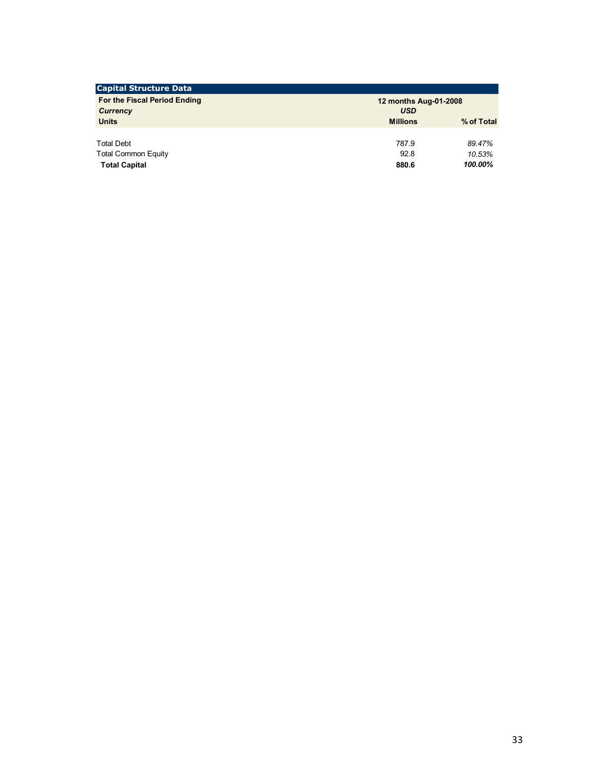| 12 months Aug-01-2008 |            |  |  |  |
|-----------------------|------------|--|--|--|
| <b>USD</b>            |            |  |  |  |
| <b>Millions</b>       | % of Total |  |  |  |
|                       |            |  |  |  |
| 787.9                 | 89.47%     |  |  |  |
| 92.8                  | 10.53%     |  |  |  |
| 880.6                 | 100.00%    |  |  |  |
|                       |            |  |  |  |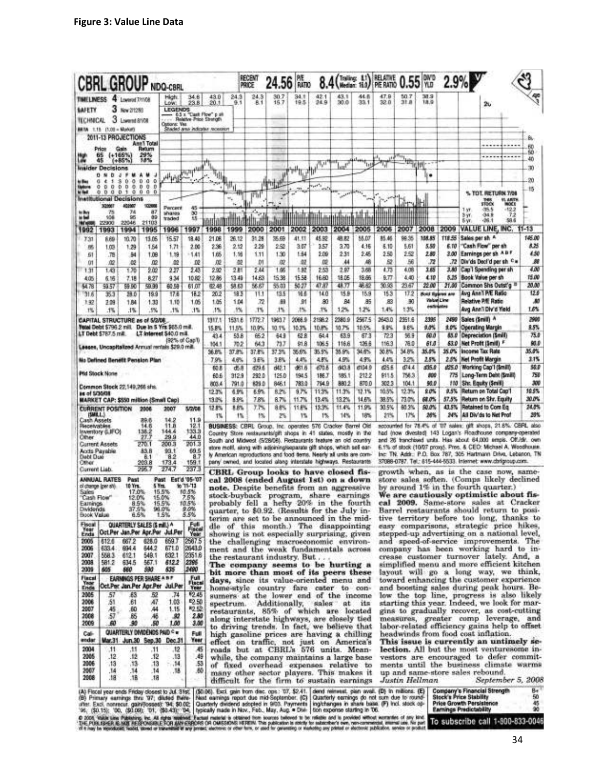|                                                                                                                                                                                                                                                                                                                                                                                                                                                                                                                                                                                  | <b>CBRL GROUP NDQ-CBRL</b>                                         |                                    |                                     |                                                  |                 |                 | recem<br>PRICE  | 24.56                                                                                                                                    | PIE<br>RATIO    |                 |                 |                 | 8.4 (Trailing: 11) REALTIS 0.55 VO |                |                   | 2.9%                                                |                 |                                                                                                                                   |                        |               |
|----------------------------------------------------------------------------------------------------------------------------------------------------------------------------------------------------------------------------------------------------------------------------------------------------------------------------------------------------------------------------------------------------------------------------------------------------------------------------------------------------------------------------------------------------------------------------------|--------------------------------------------------------------------|------------------------------------|-------------------------------------|--------------------------------------------------|-----------------|-----------------|-----------------|------------------------------------------------------------------------------------------------------------------------------------------|-----------------|-----------------|-----------------|-----------------|------------------------------------|----------------|-------------------|-----------------------------------------------------|-----------------|-----------------------------------------------------------------------------------------------------------------------------------|------------------------|---------------|
| <b>TIMELINESS</b>                                                                                                                                                                                                                                                                                                                                                                                                                                                                                                                                                                | 4 Lowend Thride                                                    |                                    | High:<br>LOW.                       | 34.6<br>23.8                                     | 43.0<br>20.1    | 24.3<br>9.1     | 24.3<br>8.1     | 30.7<br>16.7                                                                                                                             | 34.1<br>特洛      | 42.1<br>24.9    | 43.1<br>30.0    | 44 B<br>33.1    | 47.9<br>32.0                       | 50.7<br>31.A   | <b>MS</b><br>18.9 |                                                     |                 | 26                                                                                                                                |                        | e.            |
| <b>METY</b>                                                                                                                                                                                                                                                                                                                                                                                                                                                                                                                                                                      | 3<br>New 2/12/93                                                   |                                    | <b>LEGENDS</b>                      | 65 x "Cash Flow" p sh<br>Relative Price Strength |                 |                 |                 |                                                                                                                                          |                 |                 |                 |                 |                                    |                |                   |                                                     |                 |                                                                                                                                   |                        |               |
| <b>TECHNICAL</b><br><b>BRIA</b> 1.15 (1.0) - Markets                                                                                                                                                                                                                                                                                                                                                                                                                                                                                                                             | 3 Lowent 8108                                                      |                                    | Options: Yes                        | <b>Shaded anti-indicater renaishing</b>          |                 |                 |                 |                                                                                                                                          |                 |                 |                 |                 |                                    |                |                   |                                                     |                 |                                                                                                                                   |                        |               |
| 2011-13 PROJECTIONS                                                                                                                                                                                                                                                                                                                                                                                                                                                                                                                                                              |                                                                    | <b>Ann'l Total</b>                 |                                     |                                                  |                 |                 |                 |                                                                                                                                          |                 |                 |                 |                 |                                    |                |                   |                                                     |                 |                                                                                                                                   |                        |               |
| 65                                                                                                                                                                                                                                                                                                                                                                                                                                                                                                                                                                               | $(+165%$                                                           | Ratum<br>29%                       |                                     |                                                  |                 |                 |                 |                                                                                                                                          |                 |                 |                 |                 |                                    |                |                   |                                                     |                 |                                                                                                                                   |                        | ЕÜ<br>50      |
| 45<br><b>Insider Decisions</b>                                                                                                                                                                                                                                                                                                                                                                                                                                                                                                                                                   | (+86%)                                                             | 18%                                |                                     |                                                  |                 |                 |                 |                                                                                                                                          |                 | 15 J F          |                 | 1.15            |                                    |                | ĦĿ                |                                                     |                 |                                                                                                                                   |                        | 40<br>W)      |
| 0.14<br>b<br>ë<br>٠<br>a                                                                                                                                                                                                                                                                                                                                                                                                                                                                                                                                                         | Ü.<br>۵<br>з                                                       | D<br>a<br>۰                        | تراب                                | <b>Signified</b>                                 | ٦H              |                 |                 |                                                                                                                                          |                 |                 |                 |                 |                                    |                |                   |                                                     |                 |                                                                                                                                   |                        | 20            |
| o<br>ø<br>Ð<br>۰                                                                                                                                                                                                                                                                                                                                                                                                                                                                                                                                                                 | o<br>D<br>۰<br>Φ<br>0001                                           | D<br>o<br>Ð<br>$\mathbf{0}$<br>0.0 |                                     |                                                  |                 |                 |                 |                                                                                                                                          |                 |                 |                 |                 |                                    |                |                   |                                                     |                 | % TOT. RETURN 7/08                                                                                                                |                        | 15            |
| <b>Institutional Decisions</b><br>30MMT                                                                                                                                                                                                                                                                                                                                                                                                                                                                                                                                          | 402007                                                             | 10,900                             |                                     |                                                  |                 |                 |                 |                                                                                                                                          |                 |                 |                 |                 |                                    |                |                   |                                                     |                 | <b>STOCK</b>                                                                                                                      | VL ARTH<br><b>MOCK</b> |               |
| 78<br>108                                                                                                                                                                                                                                                                                                                                                                                                                                                                                                                                                                        | 74<br>96                                                           | 87<br>œ                            | Percent<br><b>MYANES</b><br>tracied | 45<br>驾                                          |                 |                 |                 |                                                                                                                                          |                 |                 |                 |                 |                                    |                |                   |                                                     | 159<br>3 yr     | -35.5<br>$-34.9$                                                                                                                  | $-12.2$<br>72<br>59.6  |               |
| 22900<br><b>IN WA</b><br>1993<br>1992                                                                                                                                                                                                                                                                                                                                                                                                                                                                                                                                            | 22046<br>1994                                                      | 21103<br>1995                      | 1996                                | 1997                                             | 1998            | 1999            | 2000            | 2001                                                                                                                                     | 2002            | 2003            | 2004            | 2005            | 2006                               | 2007           | 2008              | 2009                                                | 5 yr            | $-26.1$<br>VALUE LINE, INC. 11-13                                                                                                 |                        |               |
| 731<br>ŔĖÐ                                                                                                                                                                                                                                                                                                                                                                                                                                                                                                                                                                       | 10.70                                                              | 13.06                              | 15.57                               | 18.45                                            | 21.08           | 26.12           | 31.28           | 35.69                                                                                                                                    | 41.31           | 45.82           | 刷取              | 58.DZ           | 85.46                              | 98.35          | 158.85            | 118.55                                              | Sales per sh A  |                                                                                                                                   |                        | 145.00        |
| 務<br>1.03<br>£1<br>.78                                                                                                                                                                                                                                                                                                                                                                                                                                                                                                                                                           | 1.29<br>м                                                          | 1.54<br>1,09                       | 1,71<br>1.39                        | 2.00<br>1.41                                     | 2.36<br>1.65    | 2.52<br>1.16    | 229<br>1.11     | 2.52<br>1.30                                                                                                                             | 3.07<br>1.54    | 3.57<br>2.09    | 3.70<br>2.31    | 4.16<br>2.45    | 毛脂<br>2.50                         | 5.61<br>2.52   | 5.50<br>2.80      | 6.10                                                |                 | "Cash Flow" per sh<br>3.00 Earnings per sh A B F                                                                                  |                        | 825<br>4.50   |
| Ū1<br>œ                                                                                                                                                                                                                                                                                                                                                                                                                                                                                                                                                                          | 102                                                                | .02                                | 42                                  | œ                                                | 旋               | 32              | .D1             | 瓝                                                                                                                                        | 觑               | 旋               | 44              | 編               | 盈                                  | 56             | $72$<br>165       | .72                                                 |                 | Div'ds Deci'd per sh C =                                                                                                          |                        | м<br>400      |
| 1.43<br>1.31<br>6.16<br>4.05                                                                                                                                                                                                                                                                                                                                                                                                                                                                                                                                                     | 125<br>7.18                                                        | 乳酸<br>8.27                         | $^{227}$<br>334                     | 2.43<br>10.82                                    | 292<br>12.86    | 2.11<br>13.49   | 2.44<br>14.63   | 1.66<br>15.38                                                                                                                            | 1.52<br>15.58   | 2.53<br>16.60   | 2.87<br>18.05   | 3.68<br>18.65   | 4.73<br>0.77                       | 4.08<br>4.40   | 4.10              | 5,25                                                |                 | 3.80 Cap'l Spending per sh<br>Book Value per sh                                                                                   |                        | 15.00         |
| 54.78<br>59.57                                                                                                                                                                                                                                                                                                                                                                                                                                                                                                                                                                   | 59.50                                                              | 59.99<br>19.9                      | 60.58<br>17.6                       | 61.07<br>18.2                                    | 配朝<br>20.2      | 58.63<br>193    | 56.67           | 55.03<br>13.5                                                                                                                            | 50.27<br>福县     | 47.87<br>14.0   | 48.77<br>15.B   | 敏配<br>15.9      | 30.98<br>15.3                      | 23.67<br>172   | 22.00             | 21.00                                               |                 | Common Shs Outst'g <sup>II</sup><br>Avg Ann'l P/E Ratio                                                                           |                        | 20.00<br>12.0 |
| 31.6<br>BI<br>132<br>2.09                                                                                                                                                                                                                                                                                                                                                                                                                                                                                                                                                        | 28.0<br>1.84                                                       | 1,33                               | 1.10                                | 1.05                                             | 1.05            | 1.04            | 11.1<br>.72     | 願                                                                                                                                        | ΩI              | .80             | B4              | A5              | 83                                 | -90            |                   | <b>Bold flygres are</b><br>Value Line<br>contractes |                 | <b>Relative P/III Ratio</b>                                                                                                       |                        | <b>AO</b>     |
| 1%<br>.1%                                                                                                                                                                                                                                                                                                                                                                                                                                                                                                                                                                        | :1%                                                                | .5%                                | .1%                                 | 3%                                               | 1%              | 5%              | 1%              | 1%                                                                                                                                       | 2%              | 3%              | 12%             | 1.2%            | 1.4%                               | 13%            |                   |                                                     |                 | Avg Ann'i Div'd Yield                                                                                                             |                        | 1.0%          |
| CAPITAL STRUCTURE as of 5/2/08<br>Tetel Debt \$796.2 mill. Due in 5 Yrs \$65.0 mill.                                                                                                                                                                                                                                                                                                                                                                                                                                                                                             |                                                                    |                                    |                                     |                                                  | 1917.1<br>15.8% | 1531.6<br>11.5% | 1772.7<br>10.9% | 19637<br>10.1%                                                                                                                           | 2066.9<br>10.3% | 2198.2<br>10.8% | 2380.9<br>10.7% | 2567.5<br>10.5% | 2643.0<br>9.9%                     | 2351.6<br>185  | 2395<br>9.0%      | 2490<br>虫郎                                          | Sales (Smill) A | <b>Operating Margin</b>                                                                                                           |                        | 2900<br>9.5%  |
| LT Debt \$787.5 mill.                                                                                                                                                                                                                                                                                                                                                                                                                                                                                                                                                            |                                                                    |                                    | LT Interest \$40.0 mill             | (92% of CapT)                                    | 43.4            | 53.8            | 652             | 643                                                                                                                                      | 62.8            | 64.4            | 63.9            | 67.3            | 723                                | 筑量             | 60.0              | 85.0                                                |                 | Depreciation (Smill)                                                                                                              |                        | 75.0          |
| Leeses, Uncapitalized Annual rentals \$29.0 mill.                                                                                                                                                                                                                                                                                                                                                                                                                                                                                                                                |                                                                    |                                    |                                     |                                                  | 104.1<br>36.B%  | 70.2<br>37.8%   | 643<br>37.8%    | 73.7<br>37.3%                                                                                                                            | 剑島<br>活炉。       | 106.5<br>35.5%  | 116.6<br>35.9%  | 126.6<br>34.6%  | 116.3<br>30.8%                     | 76.0<br>34.8%  | 61.O<br>35.0%     | 63.0<br>15.0%                                       |                 | Net Profit (Smill) F<br>Income Tax Rate                                                                                           |                        | 98.9<br>35.0% |
| No Defined Benetit Pension Plan                                                                                                                                                                                                                                                                                                                                                                                                                                                                                                                                                  |                                                                    |                                    |                                     |                                                  | 7.9%            | 4.6%            | 3.6%            | 3.8%                                                                                                                                     | 4.4%            | 4.8%<br>ens.    | 4.9%<br>503.8   | 4.9%<br>d154.9  | 4.4%<br>495.6                      | 3.2%<br>014.4  | 2.5%<br>435.0     | 2.8%                                                |                 | <b>Net Profit Margin</b><br>425.0 Working Cap'l (Smill)                                                                           |                        | 21%<br>56.D   |
| <b>Md Stock None</b>                                                                                                                                                                                                                                                                                                                                                                                                                                                                                                                                                             |                                                                    |                                    |                                     |                                                  | 60.8<br>60.6    | 出身<br>312.9     | 429.6<br>292 D  | d42.1<br>125.0                                                                                                                           | d61.6<br>194.5  | 186.7           | 185.1           | 212.2           | 911.5                              | 756.3          | 800               | 775                                                 |                 | Long-Term Deht (\$mill)                                                                                                           |                        | 750           |
| Common Stock 22,149,265 shs.                                                                                                                                                                                                                                                                                                                                                                                                                                                                                                                                                     |                                                                    |                                    |                                     |                                                  | 803.4<br>12.3%  | 791.0<br>6.9%   | 829.0<br>6.9%   | 846.1<br>8.2%                                                                                                                            | 783.0<br>9.7%   | 794.9<br>11.3%  | 880.2<br>11.3%  | 870.0<br>12.1%  | 302.3<br>10.5%                     | 104.1<br>12.3% | 90.0<br>20%       | 110<br>9.5%                                         |                 | Shr. Equity (Smill)<br>Return on Total Cap'l                                                                                      |                        | 300<br>10.5%  |
| BD-DELL fo as                                                                                                                                                                                                                                                                                                                                                                                                                                                                                                                                                                    |                                                                    |                                    |                                     |                                                  | 13.0%           | 8.9%            | 7.8%            | 8.7%                                                                                                                                     | 11.7%           | 13.4%           | 13.2%           | 14.6%           | 38.5%                              | 73.0%          | 68.0%             | 57.5%                                               |                 | Return on Shr. Equity                                                                                                             |                        | 30.0%         |
|                                                                                                                                                                                                                                                                                                                                                                                                                                                                                                                                                                                  |                                                                    |                                    |                                     |                                                  |                 |                 |                 | 音楽                                                                                                                                       | 11.8%           | 13.3%           | 11.4%           | 11.9%           | 30.5%                              | 60.3%          | 50.0%             | 43.5%                                               |                 | Retained to Com Eq.                                                                                                               |                        | 24.0%         |
|                                                                                                                                                                                                                                                                                                                                                                                                                                                                                                                                                                                  |                                                                    | 2006                               | 2007                                | 5/2/26                                           | 12.8%           | 8.8%            | 7.7%            |                                                                                                                                          |                 |                 |                 |                 |                                    |                |                   |                                                     |                 |                                                                                                                                   |                        |               |
| <b>TANKL!</b>                                                                                                                                                                                                                                                                                                                                                                                                                                                                                                                                                                    |                                                                    | 凍魚港<br>14.6                        | 14.2<br>11.8                        | 11.9<br>12.1                                     | 1%              | 1%              | 1%              | 2%<br>BUSINESS: CBRL Group, Inc. operates 576 Cracker Sarrel Old                                                                         | 15              | 1%              | 14%             | 18%             | 21%                                | 17%            | 26%               | 34%                                                 |                 | All Divids to Net Prof<br>accounted for 78.4% of '07 sales; gift shops, 21.6%; CBRL also                                          |                        |               |
|                                                                                                                                                                                                                                                                                                                                                                                                                                                                                                                                                                                  |                                                                    | 138.2<br>27.                       | 144.4<br>29.9                       | 133.3<br>44.0                                    |                 |                 |                 | Country Store restaurants/pff shops in 41 states, mostly in the                                                                          |                 |                 |                 |                 |                                    |                |                   |                                                     |                 | had (now divested) 143 Logan's Roadhouse company-operated                                                                         |                        |               |
|                                                                                                                                                                                                                                                                                                                                                                                                                                                                                                                                                                                  |                                                                    | 270.<br>83.B                       | 200.3<br>93.1                       | 201.3<br>69.5                                    |                 |                 |                 | South and Midwest (5/28/06). Restaurants feature an old country<br>store mold, along with adjoining/separate gift shops, which sell ear- |                 |                 |                 |                 |                                    |                |                   |                                                     |                 | and 26 tranchised units. Has about 64,000 empts. Off./dir. own<br>6.1% of stock (10/07 proxy). Pres. & CEO: Michael A. Woodhouse. |                        |               |
|                                                                                                                                                                                                                                                                                                                                                                                                                                                                                                                                                                                  |                                                                    | 8.1<br>203.8                       | 82<br>173.4                         | 8.7<br>159.1                                     |                 |                 |                 | ly American reproductions and food dems. Nearly all units are com-<br>pany owned, and located along interstate highways. Restaurants     |                 |                 |                 |                 |                                    |                |                   |                                                     |                 | Inc: TN: Add:: P.O. Box 787, 305 Hartmann Drive, Lebanon, TN<br>37088-0787. Tel.: 815-444-5533. Internet: www.cbrigroup.com.      |                        |               |
|                                                                                                                                                                                                                                                                                                                                                                                                                                                                                                                                                                                  |                                                                    | 295.7                              | 274.7                               | 237.3                                            |                 |                 |                 | CBRL Group looks to have closed fis-                                                                                                     |                 |                 |                 |                 |                                    |                |                   |                                                     |                 | growth when, as is the case now, same-                                                                                            |                        |               |
|                                                                                                                                                                                                                                                                                                                                                                                                                                                                                                                                                                                  | Past<br>10 Yrs.                                                    |                                    | Past<br>5 Yrs.                      | Est'd '05-'07<br>to '11-'13                      |                 |                 |                 | cal 2008 (ended August 1st) on a down<br>note. Despite benefits from an aggressive                                                       |                 |                 |                 |                 |                                    |                |                   |                                                     |                 | store sales soften. (Comps likely declined<br>by around 1% in the fourth quarter.)                                                |                        |               |
|                                                                                                                                                                                                                                                                                                                                                                                                                                                                                                                                                                                  | 17.0%<br>12.0%                                                     |                                    | 15.5%<br>15.0%                      | 10.5%<br>7.5%                                    |                 |                 |                 | stock-buyback program, share earnings                                                                                                    |                 |                 |                 |                 |                                    |                |                   |                                                     |                 | We are cautiously optimistic about fis-                                                                                           |                        |               |
|                                                                                                                                                                                                                                                                                                                                                                                                                                                                                                                                                                                  | 97.2<br>37.5%                                                      |                                    | 15.5%<br>96.0%                      | 10.0%<br>9.0%                                    |                 |                 |                 | probably fell a hefty 20% in the fourth<br>quarter, to \$0.92. (Results for the July in-                                                 |                 |                 |                 |                 |                                    |                |                   |                                                     |                 | cal 2009. Same-store sales at Cracker<br>Barrel restaurants should return to posi-                                                |                        |               |
|                                                                                                                                                                                                                                                                                                                                                                                                                                                                                                                                                                                  | 6.5%<br>QUARTERLY SALES (\$ mil.) ^                                |                                    | 1.5%                                | 5.5%                                             |                 |                 |                 | terim are set to be announced in the mid-<br>dle of this month.) The disappointing                                                       |                 |                 |                 |                 |                                    |                |                   |                                                     |                 | tive territory before too long, thanks to<br>easy comparisons, strategic price hikes,                                             |                        |               |
|                                                                                                                                                                                                                                                                                                                                                                                                                                                                                                                                                                                  |                                                                    |                                    |                                     | Full<br>Fiscal<br>Year                           |                 |                 |                 | showing is not especially surprising, given                                                                                              |                 |                 |                 |                 |                                    |                |                   |                                                     |                 | stepped-up advertising on a national level,                                                                                       |                        |               |
| 612.6<br>633.4                                                                                                                                                                                                                                                                                                                                                                                                                                                                                                                                                                   | 667.2<br>694.4                                                     | 628.0<br>644.2                     | 669 T<br>671.D                      | 2567.5<br>2643.0                                 |                 |                 |                 | the challenging macroeconomic environ-<br>ment and the weak fundamentals across                                                          |                 |                 |                 |                 |                                    |                |                   |                                                     |                 | and speed-of-service improvements. The<br>company has been working hard to in-                                                    |                        |               |
| 558.3<br>581.2                                                                                                                                                                                                                                                                                                                                                                                                                                                                                                                                                                   | 612.1<br>634.5                                                     | 549.1<br>567.1                     | 632.1<br>612.2                      | 2351.6<br>2296                                   |                 |                 |                 | the restaurant industry. But                                                                                                             |                 |                 |                 |                 |                                    |                |                   |                                                     |                 | crease customer turnover lately. And, a                                                                                           |                        |               |
| 665                                                                                                                                                                                                                                                                                                                                                                                                                                                                                                                                                                              | 880                                                                | 800                                | 635                                 | 2490                                             |                 |                 |                 | The company seems to be hurting a<br>bit more than most of its peers these                                                               |                 |                 |                 |                 |                                    |                |                   |                                                     |                 | simplified menu and more efficient kitchen<br>layout will go a long way, we think,                                                |                        |               |
|                                                                                                                                                                                                                                                                                                                                                                                                                                                                                                                                                                                  | <b>EARMINGS PER SHARE A B P</b><br>Oct.Per Jan.Per Apr.Per Jul.Per |                                    |                                     | Full<br>Fiscal<br>Year                           |                 |                 |                 | days, since its value-oriented menu and<br>home-style country fare cater to con-                                                         |                 |                 |                 |                 |                                    |                |                   |                                                     |                 | toward enhancing the customer experience<br>and boosting sales during peak hours. Be-                                             |                        |               |
| 57                                                                                                                                                                                                                                                                                                                                                                                                                                                                                                                                                                               | .63                                                                | 52                                 | .74                                 | \$2.45                                           |                 |                 |                 | sumers at the lower end of the income                                                                                                    |                 |                 |                 |                 |                                    |                |                   |                                                     |                 | low the top line, progress is also likely                                                                                         |                        |               |
| 51<br>45                                                                                                                                                                                                                                                                                                                                                                                                                                                                                                                                                                         | .61<br>.60                                                         | Æ<br>44                            | 1.03<br>1.15                        | <sup>250</sup><br>R2.52                          |                 |                 |                 | spectrum. Additionally, sales at its<br>restaurants, 85% of which are located                                                            |                 |                 |                 |                 |                                    |                |                   |                                                     |                 | starting this year. Indeed, we look for mar-<br>gins to gradually recover, as cost-cutting                                        |                        |               |
| 57<br>50                                                                                                                                                                                                                                                                                                                                                                                                                                                                                                                                                                         | 86<br>30                                                           | 褐<br>.50                           | 32<br>1,00                          | 2.80<br>3.00                                     |                 |                 |                 | along interstate highways, are closely tied                                                                                              |                 |                 |                 |                 |                                    |                |                   |                                                     |                 | measures, greater comp leverage, and                                                                                              |                        |               |
|                                                                                                                                                                                                                                                                                                                                                                                                                                                                                                                                                                                  | QUARTERLY DIVIDENCS PAID = =                                       |                                    |                                     | Full                                             |                 |                 |                 | to driving trends. In fact, we believe that<br>high gasoline prices are having a chilling                                                |                 |                 |                 |                 |                                    |                |                   |                                                     |                 | labor-related efficiency gains help to offset<br>headwinds from food cost inflation.                                              |                        |               |
| Mar.31<br>.11                                                                                                                                                                                                                                                                                                                                                                                                                                                                                                                                                                    |                                                                    |                                    | Jun.30 Sep.30 Dec.31                | Tear<br><b>A5</b>                                |                 |                 |                 | effect on traffic, not just on America's                                                                                                 |                 |                 |                 |                 |                                    |                |                   |                                                     |                 | This issue is currently an untimely se-                                                                                           |                        |               |
| .12                                                                                                                                                                                                                                                                                                                                                                                                                                                                                                                                                                              | ,11<br>.12                                                         | .11<br>.12                         | .12<br>.13                          | .49                                              |                 |                 |                 | roads but at CBRL's 576 units. Mean-<br>while, the company maintains a large base                                                        |                 |                 |                 |                 |                                    |                |                   |                                                     |                 | lection. All but the most venturesome in-<br>vestors are encouraged to defer commit-                                              |                        |               |
| <b>MARKET CAP: \$550 million (Small Cap)</b><br><b>CURRENT POSITION</b><br>Cash Assets<br><b>Hecelvables</b><br>inventory (LIFO)<br>Other<br><b>Current Assets</b><br>Accts Payable<br>Døbt Duki<br>Other<br>Current Liab.<br>ANNUAL RATES<br>of change (per sh)<br>Sales<br>'Cash Flow"<br>сализов<br>Dividends.<br>Book Value<br>Fiscal<br>Enda Oct.Per Jan.Per Apr.Por Jul.Per<br>2005<br>2006<br>2007<br>2008<br>2009<br><b>Fiacal</b><br>Year<br>Ends<br>2005<br>2006<br>2007<br>2008<br>2009<br>Cali<br>endar<br>2004<br>2005<br>2006<br>.13<br>2007<br>14.<br>2008<br>.18 | $73-$<br>.14<br>.1B                                                | $-13$<br>.14<br>.18                | FriM.<br>.15                        | -53<br>.80                                       |                 |                 |                 | of fixed overhead expenses relative to<br>many other sector players. This makes it                                                       |                 |                 |                 |                 |                                    |                |                   |                                                     |                 | ments until the business climate warms<br>up and same-store sales rebound.                                                        |                        | 39%           |

(8) Primary samings thru '97; distinct their Read namings report due mid-September. (C) Quarterly earnings do not sum due to council. Stock's Price Stability (2)<br>
and Each nonroot, galaxie '94, \$9.00; Quarterly distinct ad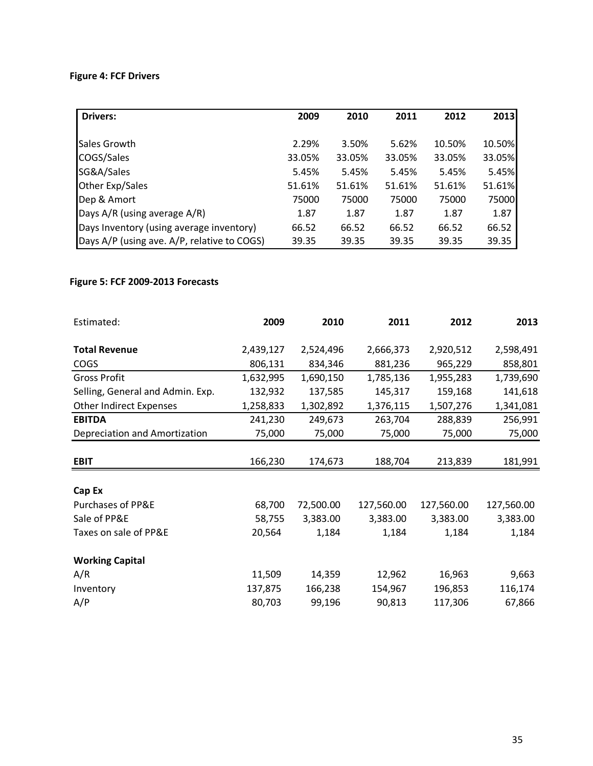## **Figure 4: FCF Drivers**

| <b>Drivers:</b>                             | 2009   | 2010   | 2011   | 2012   | 2013   |
|---------------------------------------------|--------|--------|--------|--------|--------|
|                                             |        |        |        |        |        |
| Sales Growth                                | 2.29%  | 3.50%  | 5.62%  | 10.50% | 10.50% |
| COGS/Sales                                  | 33.05% | 33.05% | 33.05% | 33.05% | 33.05% |
| SG&A/Sales                                  | 5.45%  | 5.45%  | 5.45%  | 5.45%  | 5.45%  |
| Other Exp/Sales                             | 51.61% | 51.61% | 51.61% | 51.61% | 51.61% |
| Dep & Amort                                 | 75000  | 75000  | 75000  | 75000  | 75000  |
| Days A/R (using average A/R)                | 1.87   | 1.87   | 1.87   | 1.87   | 1.87   |
| Days Inventory (using average inventory)    | 66.52  | 66.52  | 66.52  | 66.52  | 66.52  |
| Days A/P (using ave. A/P, relative to COGS) | 39.35  | 39.35  | 39.35  | 39.35  | 39.35  |

### **Figure 5: FCF 2009-2013 Forecasts**

| Estimated:                       | 2009      | 2010      | 2011       | 2012       | 2013       |
|----------------------------------|-----------|-----------|------------|------------|------------|
| <b>Total Revenue</b>             | 2,439,127 | 2,524,496 | 2,666,373  | 2,920,512  | 2,598,491  |
| <b>COGS</b>                      | 806,131   | 834,346   | 881,236    | 965,229    | 858,801    |
| <b>Gross Profit</b>              | 1,632,995 | 1,690,150 | 1,785,136  | 1,955,283  | 1,739,690  |
| Selling, General and Admin. Exp. | 132,932   | 137,585   | 145,317    | 159,168    | 141,618    |
| <b>Other Indirect Expenses</b>   | 1,258,833 | 1,302,892 | 1,376,115  | 1,507,276  | 1,341,081  |
| <b>EBITDA</b>                    | 241,230   | 249,673   | 263,704    | 288,839    | 256,991    |
| Depreciation and Amortization    | 75,000    | 75,000    | 75,000     | 75,000     | 75,000     |
|                                  |           |           |            |            |            |
| <b>EBIT</b>                      | 166,230   | 174,673   | 188,704    | 213,839    | 181,991    |
|                                  |           |           |            |            |            |
| Cap Ex                           |           |           |            |            |            |
| <b>Purchases of PP&amp;E</b>     | 68,700    | 72,500.00 | 127,560.00 | 127,560.00 | 127,560.00 |
| Sale of PP&E                     | 58,755    | 3,383.00  | 3,383.00   | 3,383.00   | 3,383.00   |
| Taxes on sale of PP&E            | 20,564    | 1,184     | 1,184      | 1,184      | 1,184      |
| <b>Working Capital</b>           |           |           |            |            |            |
| A/R                              | 11,509    | 14,359    | 12,962     | 16,963     | 9,663      |
| Inventory                        | 137,875   | 166,238   | 154,967    | 196,853    | 116,174    |
| A/P                              | 80,703    | 99,196    | 90,813     | 117,306    | 67,866     |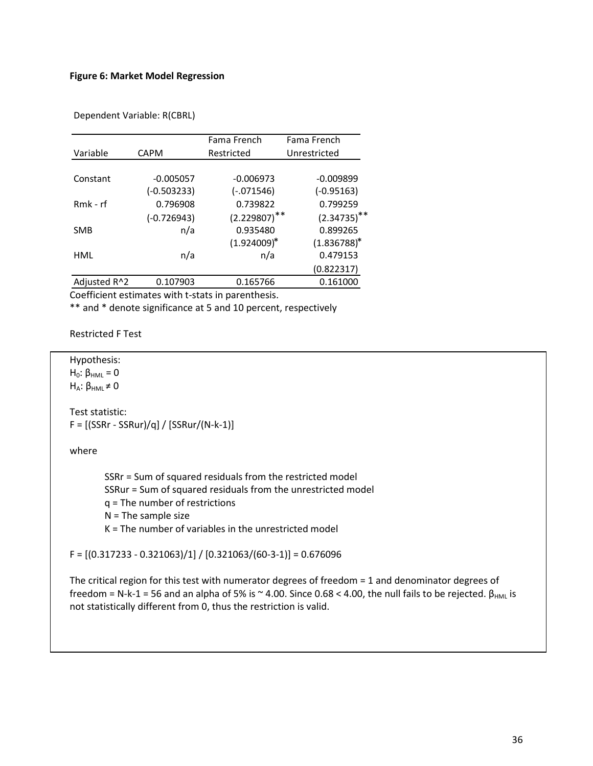### **Figure 6: Market Model Regression**

|              |               | Fama French       | Fama French      |
|--------------|---------------|-------------------|------------------|
| Variable     | <b>CAPM</b>   | Restricted        | Unrestricted     |
|              |               |                   |                  |
| Constant     | $-0.005057$   | $-0.006973$       | $-0.009899$      |
|              | $(-0.503233)$ | $(-.071546)$      | $(-0.95163)$     |
| $Rmk - rf$   | 0.796908      | 0.739822          | 0.799259         |
|              | $(-0.726943)$ | $(2.229807)^{**}$ | $(2.34735)^{**}$ |
| <b>SMB</b>   | n/a           | 0.935480          | 0.899265         |
|              |               | $(1.924009)^*$    | $(1.836788)^*$   |
| HML          | n/a           | n/a               | 0.479153         |
|              |               |                   | (0.822317)       |
| Adjusted R^2 | 0.107903      | 0.165766          | 0.161000         |

Dependent Variable: R(CBRL)

Coefficient estimates with t-stats in parenthesis.

\*\* and \* denote significance at 5 and 10 percent, respectively

Restricted F Test

Hypothesis:  $H<sub>0</sub>: β<sub>HML</sub> = 0$ 

 $H_A$ : β<sub>HML</sub>  $\neq$  0

Test statistic:  $F = [(SSRr - SSRur)/q] / [SSRur/(N-k-1)]$ 

where

SSRr = Sum of squared residuals from the restricted model SSRur = Sum of squared residuals from the unrestricted model q = The number of restrictions  $N =$ The sample size K = The number of variables in the unrestricted model

 $F = [(0.317233 - 0.321063)/1]/[0.321063/(60-3-1)] = 0.676096$ 

The critical region for this test with numerator degrees of freedom = 1 and denominator degrees of freedom = N-k-1 = 56 and an alpha of 5% is ~ 4.00. Since 0.68 < 4.00, the null fails to be rejected.  $\beta_{HML}$  is not statistically different from 0, thus the restriction is valid.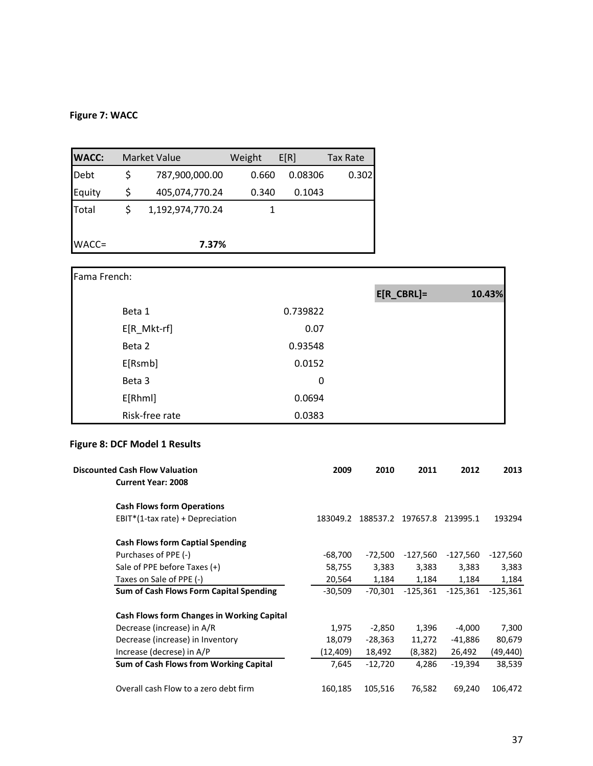## **Figure 7: WACC**

| <b>WACC:</b> | <b>Market Value</b>  | Weight | E[R]    | <b>Tax Rate</b> |
|--------------|----------------------|--------|---------|-----------------|
| Debt         | \$<br>787,900,000.00 | 0.660  | 0.08306 | 0.302           |
| Equity       | \$<br>405,074,770.24 | 0.340  | 0.1043  |                 |
| Total        | 1,192,974,770.24     |        |         |                 |
|              |                      |        |         |                 |
| WACC=        | 7.37%                |        |         |                 |

| Fama French:   |             |               |        |
|----------------|-------------|---------------|--------|
|                |             | $E[R_CBRL] =$ | 10.43% |
| Beta 1         | 0.739822    |               |        |
| E[R_Mkt-rf]    | 0.07        |               |        |
| Beta 2         | 0.93548     |               |        |
| E[Rsmb]        | 0.0152      |               |        |
| Beta 3         | $\mathbf 0$ |               |        |
| E[Rhml]        | 0.0694      |               |        |
| Risk-free rate | 0.0383      |               |        |

## **Figure 8: DCF Model 1 Results**

| <b>Discounted Cash Flow Valuation</b>             | 2009      | 2010      | 2011       | 2012       | 2013       |
|---------------------------------------------------|-----------|-----------|------------|------------|------------|
| <b>Current Year: 2008</b>                         |           |           |            |            |            |
| <b>Cash Flows form Operations</b>                 |           |           |            |            |            |
| $EBIT*(1-tax rate) + Depreciation$                | 183049.2  | 188537.2  | 197657.8   | 213995.1   | 193294     |
| <b>Cash Flows form Captial Spending</b>           |           |           |            |            |            |
| Purchases of PPE (-)                              | $-68,700$ | $-72,500$ | -127,560   | -127,560   | -127,560   |
| Sale of PPE before Taxes (+)                      | 58,755    | 3,383     | 3,383      | 3,383      | 3,383      |
| Taxes on Sale of PPE (-)                          | 20,564    | 1,184     | 1,184      | 1,184      | 1,184      |
| Sum of Cash Flows Form Capital Spending           | $-30,509$ | $-70,301$ | $-125,361$ | $-125,361$ | $-125,361$ |
| <b>Cash Flows form Changes in Working Capital</b> |           |           |            |            |            |
| Decrease (increase) in A/R                        | 1,975     | $-2,850$  | 1,396      | $-4,000$   | 7,300      |
| Decrease (increase) in Inventory                  | 18,079    | $-28,363$ | 11,272     | $-41,886$  | 80,679     |
| Increase (decrese) in A/P                         | (12, 409) | 18,492    | (8, 382)   | 26,492     | (49,440)   |
| Sum of Cash Flows from Working Capital            | 7,645     | $-12,720$ | 4,286      | $-19,394$  | 38,539     |
| Overall cash Flow to a zero debt firm             | 160,185   | 105,516   | 76,582     | 69,240     | 106,472    |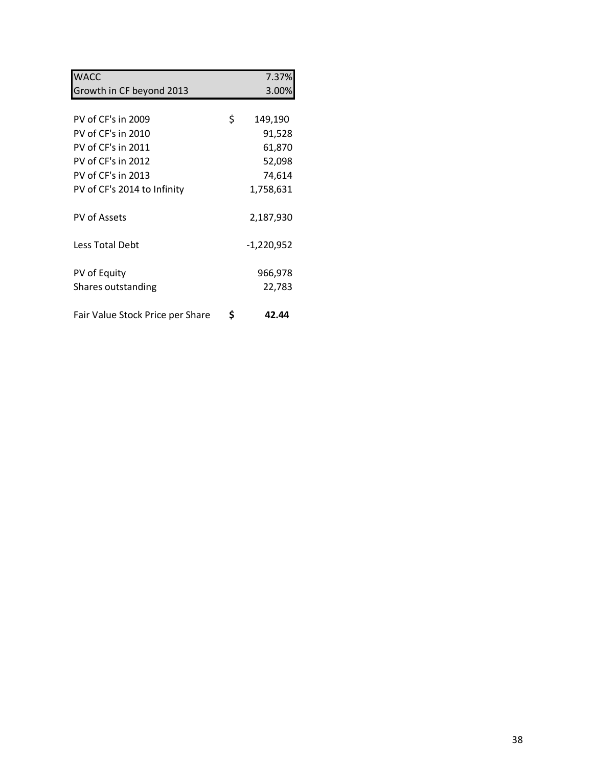| <b>WACC</b>                      | 7.37%         |
|----------------------------------|---------------|
| Growth in CF beyond 2013         | 3.00%         |
|                                  |               |
| PV of CF's in 2009               | \$<br>149,190 |
| PV of CF's in 2010               | 91,528        |
| PV of CF's in 2011               | 61,870        |
| PV of CF's in 2012               | 52,098        |
| PV of CF's in 2013               | 74,614        |
| PV of CF's 2014 to Infinity      | 1,758,631     |
| PV of Assets                     | 2,187,930     |
| Less Total Debt                  | $-1,220,952$  |
| PV of Equity                     | 966,978       |
| Shares outstanding               | 22,783        |
| Fair Value Stock Price per Share | \$<br>42.44   |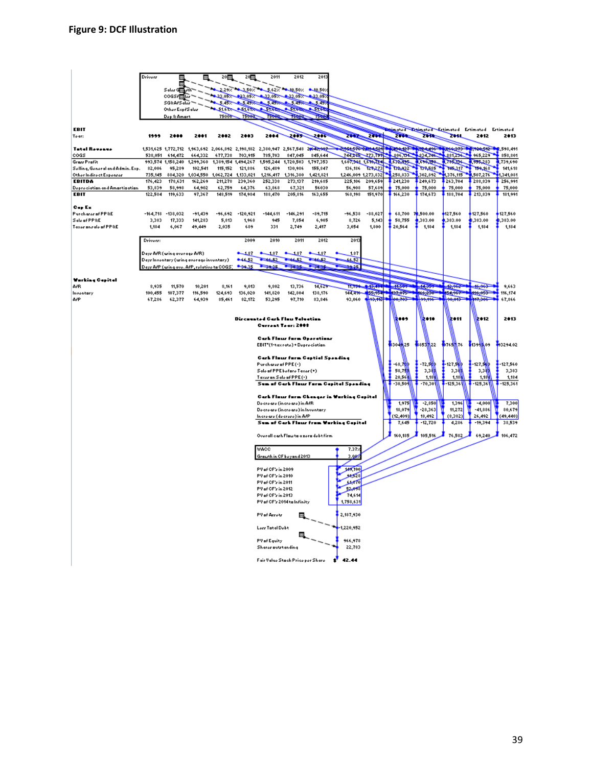|                                          | Driverz            | 冊                           | 恶                                                | 20画                     | 20團                      | 2011                                                                                        | 2012                           | 2013                                    |                                            |                                |                                                                                                                                                                                                                     |                          |                               |                     |                      |
|------------------------------------------|--------------------|-----------------------------|--------------------------------------------------|-------------------------|--------------------------|---------------------------------------------------------------------------------------------|--------------------------------|-----------------------------------------|--------------------------------------------|--------------------------------|---------------------------------------------------------------------------------------------------------------------------------------------------------------------------------------------------------------------|--------------------------|-------------------------------|---------------------|----------------------|
|                                          |                    | н                           |                                                  |                         |                          |                                                                                             |                                |                                         |                                            |                                |                                                                                                                                                                                                                     |                          |                               |                     |                      |
|                                          |                    | Salar G∰ µसे<br>cocsr副员     |                                                  |                         |                          | 2.29% - 3.50% - 5.62% - 10.50% - 10.50%<br>4 33.057 23.057 4 33.057 4 33.057 4 33.057       |                                |                                         |                                            |                                |                                                                                                                                                                                                                     |                          |                               |                     |                      |
|                                          |                    | SG&A/Saler                  |                                                  |                         |                          | 5.457 2.5 497 2.5.497 2.5 497 2.5 497                                                       |                                |                                         |                                            |                                |                                                                                                                                                                                                                     |                          |                               |                     |                      |
|                                          |                    | Other Exp/Saler             |                                                  |                         |                          | ST.612 . ST.612 . ST.612 . ST.612 . ST.612                                                  |                                |                                         |                                            |                                |                                                                                                                                                                                                                     |                          |                               |                     |                      |
|                                          |                    | Dep & Amart                 |                                                  | 75000                   | 75000                    | 75000                                                                                       | 75090                          | 750                                     |                                            |                                |                                                                                                                                                                                                                     |                          |                               |                     |                      |
| EBIT                                     |                    |                             |                                                  |                         |                          |                                                                                             |                                |                                         |                                            |                                | Esimated Esimated Estimated Estimated Estimated                                                                                                                                                                     |                          |                               |                     |                      |
| Year:                                    | 1999               | 2888                        | 2881                                             | 2002                    | 2003                     | 2004                                                                                        | نی کی                          | ه ب                                     | <b>The Read</b>                            | 2000                           | <b>The Second Service</b>                                                                                                                                                                                           | <b>The Second Second</b> | $\overline{\phantom{a}}$      | 2012                | 2013                 |
| <b>Tatal Revenue</b>                     |                    |                             |                                                  |                         |                          | 1,531,625 1,772,712 1,963,692 2,066,892 2,198,182 2,380,947 2,567,548 20 <del>642,903</del> |                                |                                         |                                            |                                |                                                                                                                                                                                                                     |                          |                               |                     |                      |
| cogs                                     |                    | 538,051 614,472             |                                                  | 664,332 677,738 703,915 |                          | 785,703                                                                                     | 847,045                        | 845,644                                 |                                            |                                | 1954, 278 <del>- 2000 4, 201</del> - 10, 204, 107 - 10, 204, 406 - 10, 204, 407 - 10, 204, 516 - 10, 518, 411<br>T4A, 23E - 173, 79A - 1, 406, 13A - 1, 424, 344, 414, 425, 236, 41 - 465, 229 - 1, 458, 201        |                          |                               | 965,229             |                      |
| <b>Grazz Profit</b>                      |                    |                             |                                                  |                         |                          | 993,574 1,158,240 1,299,360 1,389,154 1,494,267 1,595,244 1,720,503 1,797,353               |                                |                                         |                                            |                                | 1,607,901 1,610,284 1,632,895                                                                                                                                                                                       | 1,599,199.               | <b>A TOGLISH</b>              | 395,283             | 1,739,690            |
| Selling, General and Admin, Exp.         | 82,006             | 95,289                      | 102,541                                          |                         | 115, 152 121, 886        | 126.489                                                                                     | 130,986                        | 155,847                                 |                                            | 136,186 127,273                | <b>TONIC</b>                                                                                                                                                                                                        | <b>TONICES</b>           | <b>The Contract of Street</b> | 159, 168            | 141.618              |
| Other Indirect Expenser<br><b>EBITDA</b> | 735,145<br>176,423 | 178,631                     | 884,320 1,034,550 1,062,724 1,133,021<br>162,269 | 211,278                 | 239,360                  | 252,338                                                                                     | 1,216,417 1,316,380<br>273,137 | 1,421,821<br>219,685                    | 225,106                                    | 1,246,009 1,273,832<br>209,659 | 258,833<br>241,230                                                                                                                                                                                                  | 302,892<br>249,673       | 1,376,115<br>263,704          | ,507,276<br>288,839 | 1,341,081<br>256,991 |
| Depreciation and Amortization            | 53,839             | 58,998                      | 64,902                                           | 62,759                  | 64,376                   | 63,868                                                                                      | 67,321                         | 56030                                   | 56,908                                     | 57,689                         | 75,000                                                                                                                                                                                                              | 75,000                   | 75,000                        | 75,000              | 75,000               |
| <b>EBIT</b>                              | 122,584            | 119,633                     | 97,367                                           | 148,519                 | 174,984                  | 188,470                                                                                     | 205,816                        | 163,655                                 | 168,198                                    | 151,970                        | 166,230                                                                                                                                                                                                             | 174,673                  | 188,704                       | 213,839             | 181,991              |
| Cap Ex                                   |                    |                             |                                                  |                         |                          |                                                                                             |                                |                                         |                                            |                                |                                                                                                                                                                                                                     |                          |                               |                     |                      |
| Purcharer of PP&E                        |                    | $-164,718 -138,032$         | $-91,439$                                        | -96,692                 | -120,921                 | $-144,611$                                                                                  | $-146,291$                     | $-89,715$                               | -96,538                                    | $-88,027$                      | 68,700                                                                                                                                                                                                              | 72,500.00                | 127,560                       | 127,560             | 127,560              |
| Sale of PP&E                             | 3,383              | 17,333                      | 141,283                                          | 5,813                   | 1,968                    | 945                                                                                         | 7,854                          | 6,905                                   | 8,726                                      | 5,143                          | 58,755                                                                                                                                                                                                              | ,383.00                  | ,383.00                       | \$,383.00           | 8,383.00             |
| Taxor anzalo of PP&E                     | 1,184              | 6,067                       | 49,449                                           | 2,035                   | 689                      | 331                                                                                         | 2,749                          | 2,417                                   | 3,054                                      | 1,800                          | 20,564                                                                                                                                                                                                              | 1,184                    | 1,184                         | 1,184               | 1,184                |
|                                          | Driverr:           |                             |                                                  |                         | 2009                     | 2010                                                                                        | 2011                           | 2012                                    | 2013                                       |                                |                                                                                                                                                                                                                     |                          |                               |                     |                      |
|                                          |                    |                             |                                                  |                         |                          |                                                                                             |                                |                                         |                                            |                                |                                                                                                                                                                                                                     |                          |                               |                     |                      |
|                                          |                    | Days AfR (wing average AfR) |                                                  |                         | $\overline{\phantom{a}}$ | 187                                                                                         | 1.87<br>۰                      | 4,87<br>۰                               | 1.87                                       |                                |                                                                                                                                                                                                                     |                          |                               |                     |                      |
|                                          |                    |                             | Days Inventury (wing average inventury)          |                         | $\overline{\phantom{a}}$ | <b>Change</b>                                                                               | <b>Continued</b>               | $-36 - 2$                               | 66,52                                      |                                |                                                                                                                                                                                                                     |                          |                               |                     |                      |
|                                          |                    |                             | Days AfP (wing ave. AfP, relative to COGS)       |                         | $\sim$                   |                                                                                             |                                |                                         | <b>Part of</b>                             |                                |                                                                                                                                                                                                                     |                          |                               |                     |                      |
| <b>Warking Capital</b>                   |                    |                             |                                                  |                         |                          |                                                                                             |                                |                                         |                                            |                                |                                                                                                                                                                                                                     |                          |                               |                     |                      |
| A/B                                      | 8,935              | 11,570                      | 10,201                                           | 8,161                   | 9,013                    | 9,802                                                                                       | 13,736                         | 14,629                                  |                                            |                                | $+1.569$                                                                                                                                                                                                            | $-14,353$                |                               |                     | 9,663                |
| Inventory                                | 100,455            | 107,377                     | 116,590                                          | 124,693                 | 136,020                  | 141,820                                                                                     | 142,804                        | 138,176                                 |                                            |                                | -11,799 - 15,494 - 11,567 - 11,579 - 12,585 - 14,962 - 14,965<br>144,416 - 155,954 - 157,975 - 166,550 - 166,657 - 14,06,055<br>13,060 - 19 <del>,93,112 - 100,705 - 100,706 - 100,05 -</del> 1 <del>,117,506</del> |                          |                               |                     | 116,174              |
| A/P                                      | 67,286             | 62,377                      | 64,939                                           | 85,461                  | 82,172                   | 53,295                                                                                      | 97,710                         | 83,846                                  |                                            |                                |                                                                                                                                                                                                                     |                          |                               |                     | 67,866               |
|                                          |                    |                             |                                                  |                         |                          |                                                                                             |                                |                                         |                                            |                                |                                                                                                                                                                                                                     |                          |                               |                     |                      |
|                                          |                    |                             |                                                  |                         |                          | Direnanted Cark Flau Telection                                                              |                                |                                         |                                            |                                | 2009                                                                                                                                                                                                                | è e se                   | k on                          | ko 12               | 2013                 |
|                                          |                    |                             |                                                  |                         |                          | Current Tear: 2008                                                                          |                                |                                         |                                            |                                |                                                                                                                                                                                                                     |                          |                               |                     |                      |
|                                          |                    |                             |                                                  |                         |                          |                                                                                             |                                | <b>Carl Flour form Operations</b>       |                                            |                                |                                                                                                                                                                                                                     |                          |                               |                     |                      |
|                                          |                    |                             |                                                  |                         |                          | EBIT"(1-tax rate) + Depreciation                                                            |                                |                                         |                                            |                                | 330 M 25                                                                                                                                                                                                            | \$853 22                 | 春水端で                          | 6139银09             | 33294.02             |
|                                          |                    |                             |                                                  |                         |                          |                                                                                             |                                |                                         |                                            |                                |                                                                                                                                                                                                                     |                          |                               |                     |                      |
|                                          |                    |                             |                                                  |                         |                          | Purcharer of PPE (-)                                                                        |                                | <b>Carl Flour form Captial Spending</b> |                                            |                                | -68,7 <mark>00</mark>                                                                                                                                                                                               | -72,50                   | 127,5 <mark>10</mark>         | -127. WD            | -127,560             |
|                                          |                    |                             |                                                  |                         |                          | Sale of PPE before Taxer (+)                                                                |                                |                                         |                                            |                                | 58,75                                                                                                                                                                                                               | 3,38                     | 3,38                          | 3,3號                | 3,383                |
|                                          |                    |                             |                                                  |                         |                          | Taxer on Sale of PPE (-)                                                                    |                                |                                         |                                            |                                | 20,56                                                                                                                                                                                                               | 1,18                     | 1,180                         | 1,184               | 1,184                |
|                                          |                    |                             |                                                  |                         |                          |                                                                                             |                                |                                         | Sum of Cark Flour Form Capital Spending    |                                | -30,50%                                                                                                                                                                                                             | $-70,301$                | -125,361                      | -125,361            | $-125,361$           |
|                                          |                    |                             |                                                  |                         |                          |                                                                                             |                                |                                         | Cark Flour form Changer in Working Capital |                                |                                                                                                                                                                                                                     |                          |                               |                     |                      |
|                                          |                    |                             |                                                  |                         |                          | Decreare (increare) in ArR                                                                  |                                |                                         |                                            |                                | 1,975                                                                                                                                                                                                               | $-2,850$                 | 1,396                         | $-4,000$            | 7,300                |
|                                          |                    |                             |                                                  |                         |                          | Decreare (increare) in Inventury                                                            |                                |                                         |                                            |                                | 18,079                                                                                                                                                                                                              | $-28,363$                | 11,272                        | $-41,886$           | 80,679               |
|                                          |                    |                             |                                                  |                         |                          | Increare (decrere) in APP                                                                   |                                |                                         | Sum of Cark Flour from Working Capital     |                                | (12, 409)<br>7.645                                                                                                                                                                                                  | 18,492<br>$-12,720$      | (8,382)<br>4,286              | 26,492<br>$-19,394$ | (49, 440)<br>38,539  |
|                                          |                    |                             |                                                  |                         |                          |                                                                                             |                                |                                         |                                            |                                |                                                                                                                                                                                                                     |                          |                               |                     |                      |
|                                          |                    |                             |                                                  |                         |                          |                                                                                             |                                | Overall cark Flaw to a zero debt firm   |                                            |                                | 160,185                                                                                                                                                                                                             | 105,516                  | 76,582                        | 69,240              | 106,472              |
|                                          |                    |                             |                                                  |                         |                          |                                                                                             |                                |                                         |                                            |                                |                                                                                                                                                                                                                     |                          |                               |                     |                      |
|                                          |                    |                             |                                                  |                         |                          | WACC<br>Growth in CF beyond 2013                                                            |                                |                                         | 7.37%<br>3.007                             |                                |                                                                                                                                                                                                                     |                          |                               |                     |                      |
|                                          |                    |                             |                                                  |                         |                          |                                                                                             |                                |                                         |                                            |                                |                                                                                                                                                                                                                     |                          |                               |                     |                      |
|                                          |                    |                             |                                                  |                         |                          | PV of CF's in 2009                                                                          |                                |                                         | 149,190                                    |                                |                                                                                                                                                                                                                     |                          |                               |                     |                      |
|                                          |                    |                             |                                                  |                         |                          | PV of CF's in 2010                                                                          |                                |                                         | فيتمحو                                     |                                |                                                                                                                                                                                                                     |                          |                               |                     |                      |
|                                          |                    |                             |                                                  |                         |                          | PV of CF's in 2011<br>PV of CF's in 2012                                                    |                                |                                         | ەسىر<br>والمستعيد                          |                                |                                                                                                                                                                                                                     |                          |                               |                     |                      |
|                                          |                    |                             |                                                  |                         |                          | PV of CF's in 2013                                                                          |                                |                                         | 74,614                                     |                                |                                                                                                                                                                                                                     |                          |                               |                     |                      |
|                                          |                    |                             |                                                  |                         |                          | PV of CF's 2014 to Infinity                                                                 |                                |                                         | 1,758,631                                  |                                |                                                                                                                                                                                                                     |                          |                               |                     |                      |
|                                          |                    |                             |                                                  |                         |                          | PV of Arrotr                                                                                |                                |                                         | 2,187,930                                  |                                |                                                                                                                                                                                                                     |                          |                               |                     |                      |
|                                          |                    |                             |                                                  |                         |                          | Lerr Tatal Debt                                                                             |                                |                                         | 1,220,952                                  |                                |                                                                                                                                                                                                                     |                          |                               |                     |                      |
|                                          |                    |                             |                                                  |                         |                          | PV of Equity                                                                                | 震                              |                                         | 966,978                                    |                                |                                                                                                                                                                                                                     |                          |                               |                     |                      |
|                                          |                    |                             |                                                  |                         |                          | Sharar autrtanding                                                                          |                                |                                         | 22,783                                     |                                |                                                                                                                                                                                                                     |                          |                               |                     |                      |
|                                          |                    |                             |                                                  |                         |                          | Fair Value Stack Price per Share                                                            |                                |                                         | ď<br>42.44                                 |                                |                                                                                                                                                                                                                     |                          |                               |                     |                      |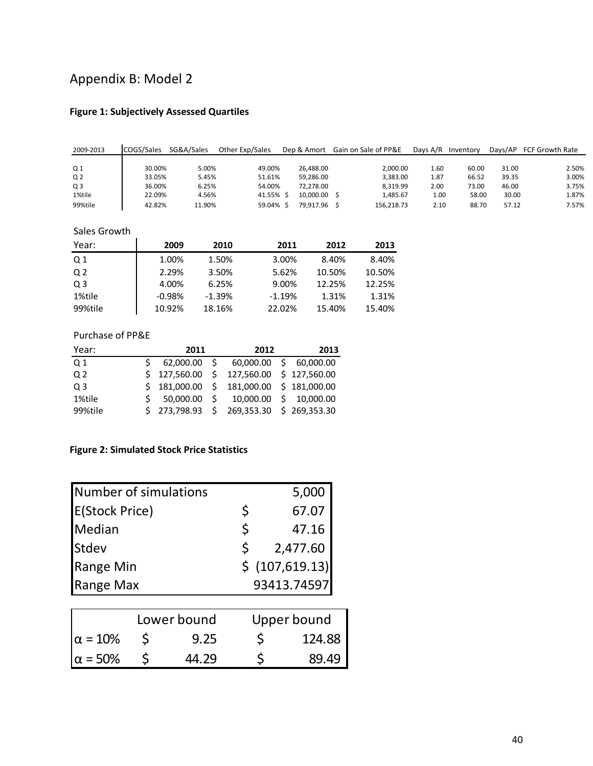# Appendix B: Model 2

## **Figure 1: Subjectively Assessed Quartiles**

| 2009-2013      | COGS/Sales | SG&A/Sales | Other Exp/Sales | Dep & Amort |              | Gain on Sale of PP&E | Davs A/R | Inventory | Davs/AP | FCF Growth Rate |
|----------------|------------|------------|-----------------|-------------|--------------|----------------------|----------|-----------|---------|-----------------|
|                |            |            |                 |             |              |                      |          |           |         |                 |
| Q 1            | 30.00%     | 5.00%      | 49.00%          |             | 26.488.00    | 2.000.00             | 1.60     | 60.00     | 31.00   | 2.50%           |
| Q <sub>2</sub> | 33.05%     | 5.45%      | 51.61%          |             | 59.286.00    | 3.383.00             | 1.87     | 66.52     | 39.35   | 3.00%           |
| Q <sub>3</sub> | 36.00%     | 6.25%      | 54.00%          |             | 72.278.00    | 8.319.99             | 2.00     | 73.00     | 46.00   | 3.75%           |
| 1%tile         | 22.09%     | 4.56%      | 41.55% S        |             | 10.000.00 \$ | 1,485.67             | 1.00     | 58.00     | 30.00   | 1.87%           |
| 99%tile        | 42.82%     | 11.90%     | 59.04% \$       |             | 79.917.96 \$ | 156.218.73           | 2.10     | 88.70     | 57.12   | 7.57%           |

### Sales Growth

| Year:          | 2009     | 2010     | 2011     | 2012   | 2013   |
|----------------|----------|----------|----------|--------|--------|
| Q <sub>1</sub> | 1.00%    | 1.50%    | 3.00%    | 8.40%  | 8.40%  |
| Q <sub>2</sub> | 2.29%    | 3.50%    | 5.62%    | 10.50% | 10.50% |
| Q <sub>3</sub> | 4.00%    | 6.25%    | 9.00%    | 12.25% | 12.25% |
| 1%tile         | $-0.98%$ | $-1.39%$ | $-1.19%$ | 1.31%  | 1.31%  |
| 99%tile        | 10.92%   | 18.16%   | 22.02%   | 15.40% | 15.40% |

### Purchase of PP&E

| Year:          | 2011         | 2012                                        | 2013 |
|----------------|--------------|---------------------------------------------|------|
| Q 1            | 62,000.00 \$ | 60,000.00 \$ 60,000.00                      |      |
| Q <sub>2</sub> |              | $$127,560.00$$ \$ 127,560.00 \$ 127,560.00  |      |
| Q <sub>3</sub> |              | $$181,000.00$$ $$181,000.00$$ $$181,000.00$ |      |
| 1%tile         |              | $$50,000.00$$ $$10,000.00$$ $$10,000.00$    |      |
| 99%tile        |              | $$273,798.93$$ $$269,353.30$$ $$269,353.30$ |      |

## **Figure 2: Simulated Stock Price Statistics**

| Number of simulations |    | 5,000           |
|-----------------------|----|-----------------|
| <b>E(Stock Price)</b> | Ś  | 67.07           |
| Median                | Ś  | 47.16           |
| Stdev                 | S. | 2,477.60        |
| Range Min             |    | \$ (107,619.13) |
| Range Max             |    | 93413.74597     |

|                   | Lower bound | Upper bound |
|-------------------|-------------|-------------|
| $\alpha = 10\%$   | 9.25        | 124.88      |
| $ \alpha = 50\% $ | 44.29       | 89.49       |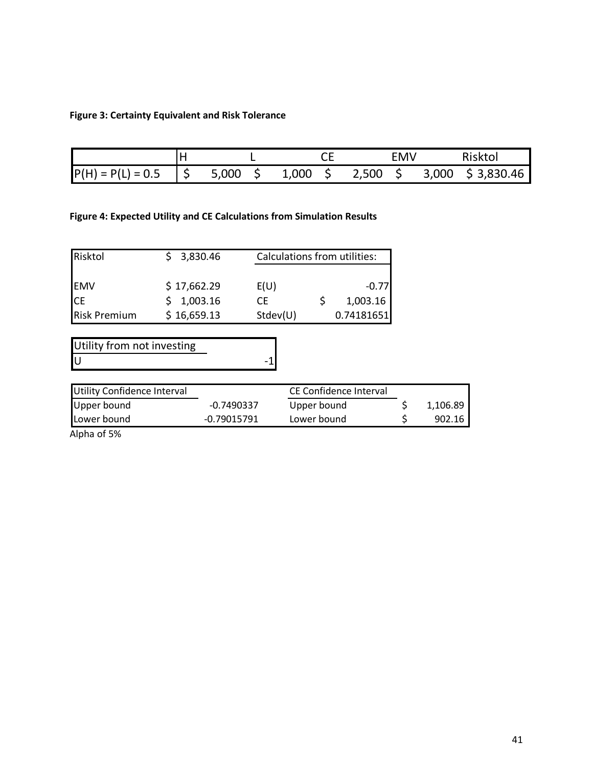## **Figure 3: Certainty Equivalent and Risk Tolerance**

|                     |      |            |       |   |       | EMV |       | <b>Risktol</b> |
|---------------------|------|------------|-------|---|-------|-----|-------|----------------|
| $P(H) = P(L) = 0.5$ | ' \$ | 5,000<br>ت | 1,000 | ٮ | 2,500 | ٮ   | 3,000 | \$3,830.46     |

## **Figure 4: Expected Utility and CE Calculations from Simulation Results**

| Risktol             | 3,830.46    |          | <b>Calculations from utilities:</b> |            |  |  |
|---------------------|-------------|----------|-------------------------------------|------------|--|--|
|                     |             |          |                                     |            |  |  |
| <b>EMV</b>          | \$17,662.29 | E(U)     |                                     | $-0.77$    |  |  |
| <b>CE</b>           | \$1,003.16  | CЕ       |                                     | 1,003.16   |  |  |
| <b>Risk Premium</b> | \$16,659.13 | Stdev(U) |                                     | 0.74181651 |  |  |

Utility from not investing<br>U U and  $-1$ 

| Utility Confidence Interval |             | CE Confidence Interval |          |
|-----------------------------|-------------|------------------------|----------|
| Upper bound                 | -0.7490337  | Upper bound            | 1,106.89 |
| Lower bound                 | -0.79015791 | Lower bound            | 902.16   |

Alpha of 5%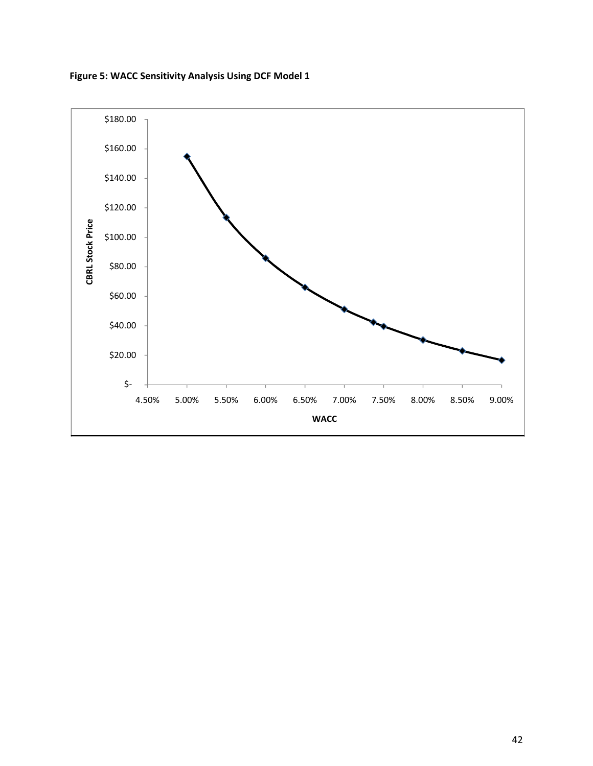

**Figure 5: WACC Sensitivity Analysis Using DCF Model 1**